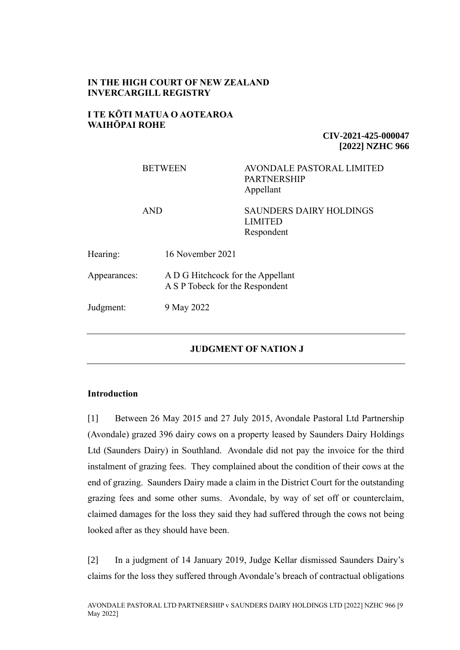# **IN THE HIGH COURT OF NEW ZEALAND INVERCARGILL REGISTRY**

### **I TE KŌTI MATUA O AOTEAROA WAIHŌPAI ROHE**

**CIV-2021-425-000047 [2022] NZHC 966**

|              | <b>BETWEEN</b>                                                       | <b>AVONDALE PASTORAL LIMITED</b><br><b>PARTNERSHIP</b><br>Appellant |
|--------------|----------------------------------------------------------------------|---------------------------------------------------------------------|
| <b>AND</b>   |                                                                      | <b>SAUNDERS DAIRY HOLDINGS</b><br><b>LIMITED</b><br>Respondent      |
| Hearing:     | 16 November 2021                                                     |                                                                     |
| Appearances: | A D G Hitchcock for the Appellant<br>A S P Tobeck for the Respondent |                                                                     |
| Judgment:    | 9 May 2022                                                           |                                                                     |
|              |                                                                      |                                                                     |

# **JUDGMENT OF NATION J**

# **Introduction**

[1] Between 26 May 2015 and 27 July 2015, Avondale Pastoral Ltd Partnership (Avondale) grazed 396 dairy cows on a property leased by Saunders Dairy Holdings Ltd (Saunders Dairy) in Southland. Avondale did not pay the invoice for the third instalment of grazing fees. They complained about the condition of their cows at the end of grazing. Saunders Dairy made a claim in the District Court for the outstanding grazing fees and some other sums. Avondale, by way of set off or counterclaim, claimed damages for the loss they said they had suffered through the cows not being looked after as they should have been.

[2] In a judgment of 14 January 2019, Judge Kellar dismissed Saunders Dairy's claims for the loss they suffered through Avondale's breach of contractual obligations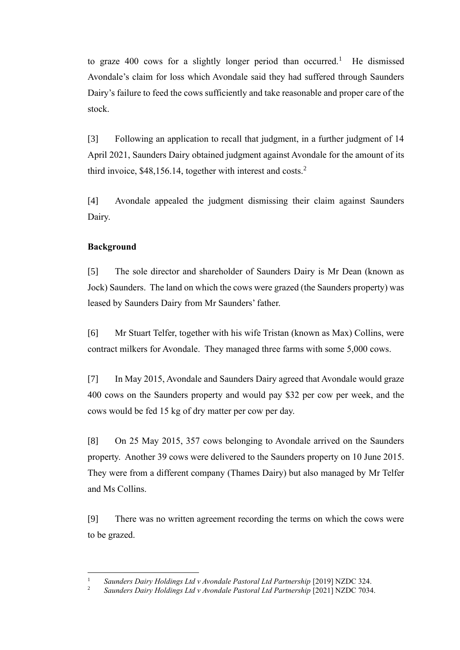to graze  $400$  cows for a slightly longer period than occurred.<sup>1</sup> He dismissed Avondale's claim for loss which Avondale said they had suffered through Saunders Dairy's failure to feed the cows sufficiently and take reasonable and proper care of the stock.

[3] Following an application to recall that judgment, in a further judgment of 14 April 2021, Saunders Dairy obtained judgment against Avondale for the amount of its third invoice,  $$48,156.14$ , together with interest and costs.<sup>2</sup>

[4] Avondale appealed the judgment dismissing their claim against Saunders Dairy.

# **Background**

[5] The sole director and shareholder of Saunders Dairy is Mr Dean (known as Jock) Saunders. The land on which the cows were grazed (the Saunders property) was leased by Saunders Dairy from Mr Saunders' father.

[6] Mr Stuart Telfer, together with his wife Tristan (known as Max) Collins, were contract milkers for Avondale. They managed three farms with some 5,000 cows.

[7] In May 2015, Avondale and Saunders Dairy agreed that Avondale would graze 400 cows on the Saunders property and would pay \$32 per cow per week, and the cows would be fed 15 kg of dry matter per cow per day.

[8] On 25 May 2015, 357 cows belonging to Avondale arrived on the Saunders property. Another 39 cows were delivered to the Saunders property on 10 June 2015. They were from a different company (Thames Dairy) but also managed by Mr Telfer and Ms Collins.

[9] There was no written agreement recording the terms on which the cows were to be grazed.

<sup>&</sup>lt;sup>1</sup> *Saunders Dairy Holdings Ltd v Avondale Pastoral Ltd Partnership* [2019] NZDC 324.

<sup>2</sup> *Saunders Dairy Holdings Ltd v Avondale Pastoral Ltd Partnership* [2021] NZDC 7034.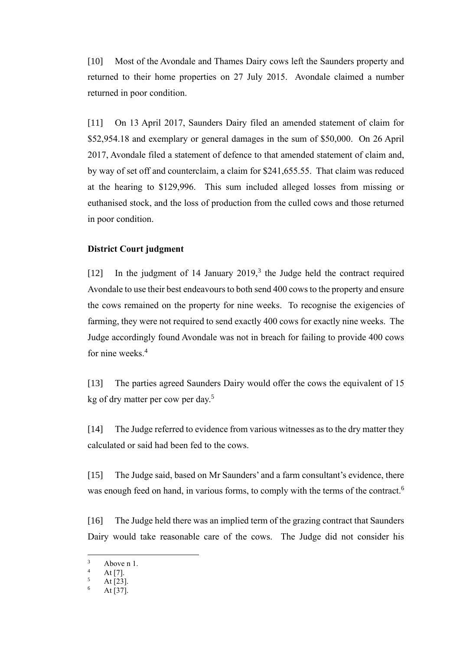[10] Most of the Avondale and Thames Dairy cows left the Saunders property and returned to their home properties on 27 July 2015. Avondale claimed a number returned in poor condition.

[11] On 13 April 2017, Saunders Dairy filed an amended statement of claim for \$52,954.18 and exemplary or general damages in the sum of \$50,000. On 26 April 2017, Avondale filed a statement of defence to that amended statement of claim and, by way of set off and counterclaim, a claim for \$241,655.55. That claim was reduced at the hearing to \$129,996. This sum included alleged losses from missing or euthanised stock, and the loss of production from the culled cows and those returned in poor condition.

### **District Court judgment**

[12] In the judgment of 14 January  $2019<sup>3</sup>$ , the Judge held the contract required Avondale to use their best endeavours to both send 400 cows to the property and ensure the cows remained on the property for nine weeks. To recognise the exigencies of farming, they were not required to send exactly 400 cows for exactly nine weeks. The Judge accordingly found Avondale was not in breach for failing to provide 400 cows for nine weeks.<sup>4</sup>

[13] The parties agreed Saunders Dairy would offer the cows the equivalent of 15 kg of dry matter per cow per day.<sup>5</sup>

[14] The Judge referred to evidence from various witnesses as to the dry matter they calculated or said had been fed to the cows.

[15] The Judge said, based on Mr Saunders' and a farm consultant's evidence, there was enough feed on hand, in various forms, to comply with the terms of the contract.<sup>6</sup>

[16] The Judge held there was an implied term of the grazing contract that Saunders Dairy would take reasonable care of the cows. The Judge did not consider his

 $3$  Above n 1.

 $4$  At [7].

At [23].

At [37].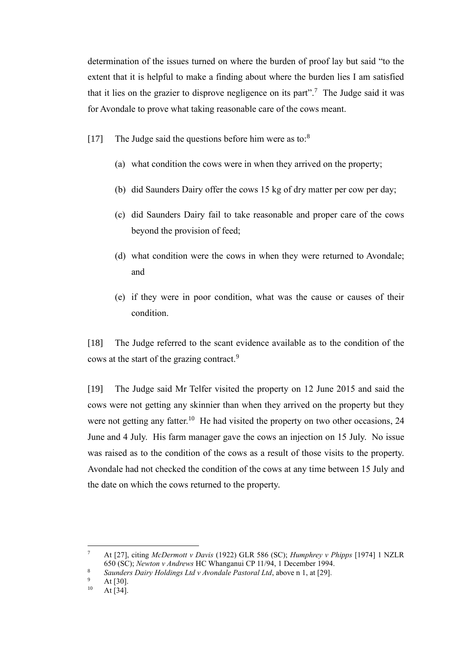determination of the issues turned on where the burden of proof lay but said "to the extent that it is helpful to make a finding about where the burden lies I am satisfied that it lies on the grazier to disprove negligence on its part".<sup>7</sup> The Judge said it was for Avondale to prove what taking reasonable care of the cows meant.

- [17] The Judge said the questions before him were as to:<sup>8</sup>
	- (a) what condition the cows were in when they arrived on the property;
	- (b) did Saunders Dairy offer the cows 15 kg of dry matter per cow per day;
	- (c) did Saunders Dairy fail to take reasonable and proper care of the cows beyond the provision of feed;
	- (d) what condition were the cows in when they were returned to Avondale; and
	- (e) if they were in poor condition, what was the cause or causes of their condition.

[18] The Judge referred to the scant evidence available as to the condition of the cows at the start of the grazing contract.<sup>9</sup>

[19] The Judge said Mr Telfer visited the property on 12 June 2015 and said the cows were not getting any skinnier than when they arrived on the property but they were not getting any fatter.<sup>10</sup> He had visited the property on two other occasions, 24 June and 4 July. His farm manager gave the cows an injection on 15 July. No issue was raised as to the condition of the cows as a result of those visits to the property. Avondale had not checked the condition of the cows at any time between 15 July and the date on which the cows returned to the property.

<sup>7</sup> At [27], citing *McDermott v Davis* (1922) GLR 586 (SC); *Humphrey v Phipps* [1974] 1 NZLR 650 (SC); *Newton v Andrews* HC Whanganui CP 11/94, 1 December 1994.

<sup>8</sup> *Saunders Dairy Holdings Ltd v Avondale Pastoral Ltd*, above n 1, at [29].

 $^{9}$  At [30].

At  $[34]$ .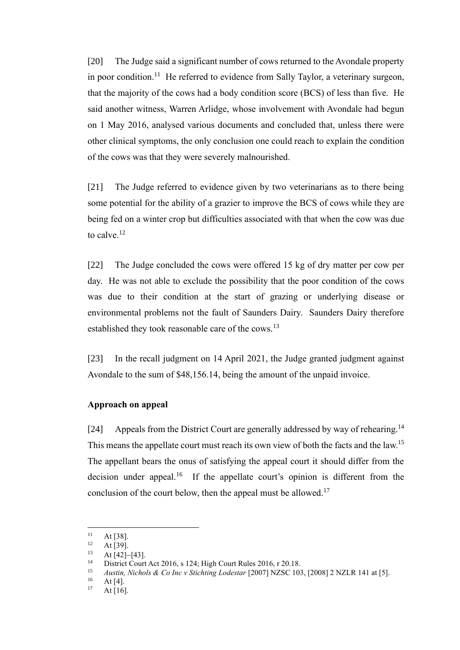[20] The Judge said a significant number of cows returned to the Avondale property in poor condition.<sup>11</sup> He referred to evidence from Sally Taylor, a veterinary surgeon, that the majority of the cows had a body condition score (BCS) of less than five. He said another witness, Warren Arlidge, whose involvement with Avondale had begun on 1 May 2016, analysed various documents and concluded that, unless there were other clinical symptoms, the only conclusion one could reach to explain the condition of the cows was that they were severely malnourished.

[21] The Judge referred to evidence given by two veterinarians as to there being some potential for the ability of a grazier to improve the BCS of cows while they are being fed on a winter crop but difficulties associated with that when the cow was due to calve.<sup>12</sup>

[22] The Judge concluded the cows were offered 15 kg of dry matter per cow per day. He was not able to exclude the possibility that the poor condition of the cows was due to their condition at the start of grazing or underlying disease or environmental problems not the fault of Saunders Dairy. Saunders Dairy therefore established they took reasonable care of the cows.<sup>13</sup>

[23] In the recall judgment on 14 April 2021, the Judge granted judgment against Avondale to the sum of \$48,156.14, being the amount of the unpaid invoice.

## **Approach on appeal**

[24] Appeals from the District Court are generally addressed by way of rehearing.<sup>14</sup> This means the appellate court must reach its own view of both the facts and the law.<sup>15</sup> The appellant bears the onus of satisfying the appeal court it should differ from the decision under appeal.<sup>16</sup> If the appellate court's opinion is different from the conclusion of the court below, then the appeal must be allowed.<sup>17</sup>

 $11$  At [38].

 $12$  At [39].

At [42]−[43].

<sup>&</sup>lt;sup>14</sup> District Court Act 2016, s 124; High Court Rules 2016, r 20.18.

<sup>15</sup> *Austin, Nichols & Co Inc v Stichting Lodestar* [2007] NZSC 103, [2008] 2 NZLR 141 at [5].

 $16$  At [4].

At  $[16]$ .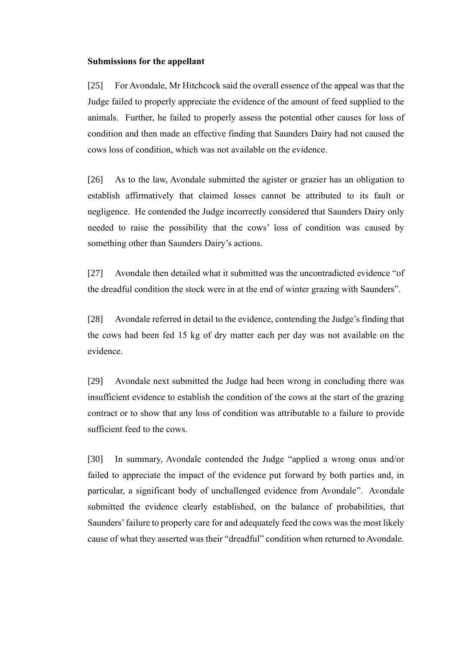#### **Submissions for the appellant**

[25] For Avondale, Mr Hitchcock said the overall essence of the appeal was that the Judge failed to properly appreciate the evidence of the amount of feed supplied to the animals. Further, he failed to properly assess the potential other causes for loss of condition and then made an effective finding that Saunders Dairy had not caused the cows loss of condition, which was not available on the evidence.

[26] As to the law, Avondale submitted the agister or grazier has an obligation to establish affirmatively that claimed losses cannot be attributed to its fault or negligence. He contended the Judge incorrectly considered that Saunders Dairy only needed to raise the possibility that the cows' loss of condition was caused by something other than Saunders Dairy's actions.

[27] Avondale then detailed what it submitted was the uncontradicted evidence "of the dreadful condition the stock were in at the end of winter grazing with Saunders".

[28] Avondale referred in detail to the evidence, contending the Judge's finding that the cows had been fed 15 kg of dry matter each per day was not available on the evidence.

[29] Avondale next submitted the Judge had been wrong in concluding there was insufficient evidence to establish the condition of the cows at the start of the grazing contract or to show that any loss of condition was attributable to a failure to provide sufficient feed to the cows.

[30] In summary, Avondale contended the Judge "applied a wrong onus and/or failed to appreciate the impact of the evidence put forward by both parties and, in particular, a significant body of unchallenged evidence from Avondale". Avondale submitted the evidence clearly established, on the balance of probabilities, that Saunders'failure to properly care for and adequately feed the cows was the most likely cause of what they asserted was their "dreadful" condition when returned to Avondale.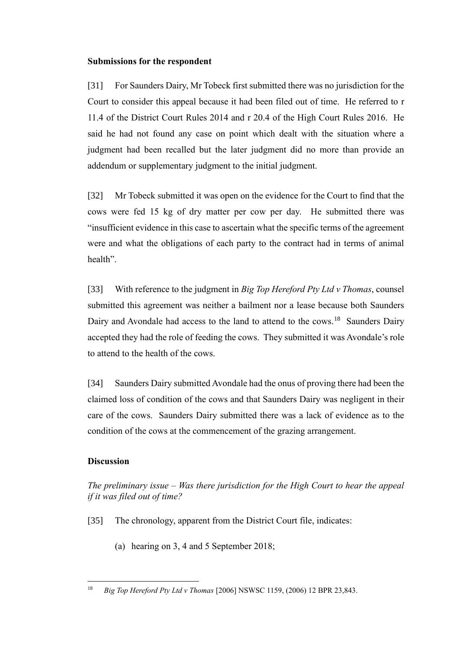# **Submissions for the respondent**

[31] For Saunders Dairy, Mr Tobeck first submitted there was no jurisdiction for the Court to consider this appeal because it had been filed out of time. He referred to r 11.4 of the District Court Rules 2014 and r 20.4 of the High Court Rules 2016. He said he had not found any case on point which dealt with the situation where a judgment had been recalled but the later judgment did no more than provide an addendum or supplementary judgment to the initial judgment.

[32] Mr Tobeck submitted it was open on the evidence for the Court to find that the cows were fed 15 kg of dry matter per cow per day. He submitted there was "insufficient evidence in this case to ascertain what the specific terms of the agreement were and what the obligations of each party to the contract had in terms of animal health".

[33] With reference to the judgment in *Big Top Hereford Pty Ltd v Thomas*, counsel submitted this agreement was neither a bailment nor a lease because both Saunders Dairy and Avondale had access to the land to attend to the cows.<sup>18</sup> Saunders Dairy accepted they had the role of feeding the cows. They submitted it was Avondale's role to attend to the health of the cows.

[34] Saunders Dairy submitted Avondale had the onus of proving there had been the claimed loss of condition of the cows and that Saunders Dairy was negligent in their care of the cows. Saunders Dairy submitted there was a lack of evidence as to the condition of the cows at the commencement of the grazing arrangement.

# **Discussion**

*The preliminary issue – Was there jurisdiction for the High Court to hear the appeal if it was filed out of time?*

- [35] The chronology, apparent from the District Court file, indicates:
	- (a) hearing on 3, 4 and 5 September 2018;

<sup>18</sup> *Big Top Hereford Pty Ltd v Thomas* [2006] NSWSC 1159, (2006) 12 BPR 23,843.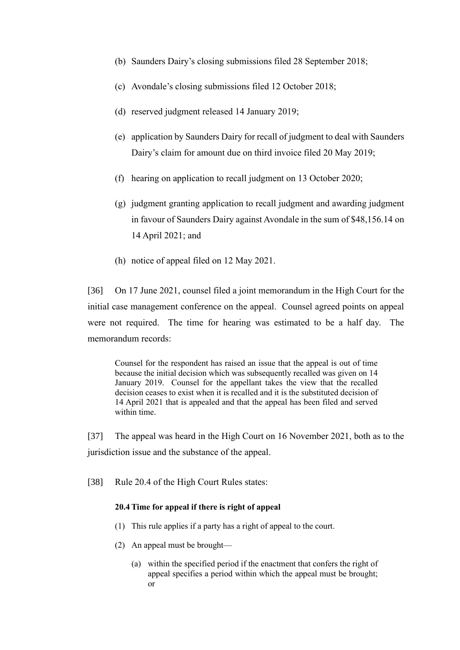- (b) Saunders Dairy's closing submissions filed 28 September 2018;
- (c) Avondale's closing submissions filed 12 October 2018;
- (d) reserved judgment released 14 January 2019;
- (e) application by Saunders Dairy for recall of judgment to deal with Saunders Dairy's claim for amount due on third invoice filed 20 May 2019;
- (f) hearing on application to recall judgment on 13 October 2020;
- (g) judgment granting application to recall judgment and awarding judgment in favour of Saunders Dairy against Avondale in the sum of \$48,156.14 on 14 April 2021; and
- (h) notice of appeal filed on 12 May 2021.

[36] On 17 June 2021, counsel filed a joint memorandum in the High Court for the initial case management conference on the appeal. Counsel agreed points on appeal were not required. The time for hearing was estimated to be a half day. The memorandum records:

Counsel for the respondent has raised an issue that the appeal is out of time because the initial decision which was subsequently recalled was given on 14 January 2019. Counsel for the appellant takes the view that the recalled decision ceases to exist when it is recalled and it is the substituted decision of 14 April 2021 that is appealed and that the appeal has been filed and served within time.

[37] The appeal was heard in the High Court on 16 November 2021, both as to the jurisdiction issue and the substance of the appeal.

[38] Rule 20.4 of the High Court Rules states:

#### **20.4 Time for appeal if there is right of appeal**

- (1) This rule applies if a party has a right of appeal to the court.
- (2) An appeal must be brought—
	- (a) within the specified period if the enactment that confers the right of appeal specifies a period within which the appeal must be brought; or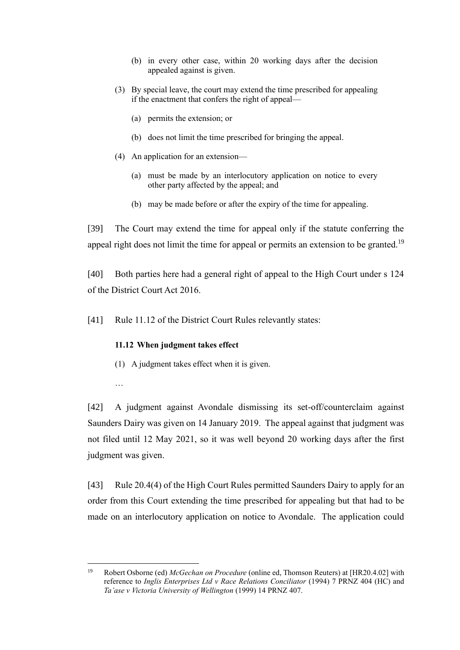- (b) in every other case, within 20 working days after the decision appealed against is given.
- (3) By special leave, the court may extend the time prescribed for appealing if the enactment that confers the right of appeal—
	- (a) permits the extension; or
	- (b) does not limit the time prescribed for bringing the appeal.
- (4) An application for an extension—
	- (a) must be made by an interlocutory application on notice to every other party affected by the appeal; and
	- (b) may be made before or after the expiry of the time for appealing.

[39] The Court may extend the time for appeal only if the statute conferring the appeal right does not limit the time for appeal or permits an extension to be granted.<sup>19</sup>

[40] Both parties here had a general right of appeal to the High Court under s 124 of the District Court Act 2016.

[41] Rule 11.12 of the District Court Rules relevantly states:

#### **11.12 When judgment takes effect**

- (1) A judgment takes effect when it is given.
- …

[42] A judgment against Avondale dismissing its set-off/counterclaim against Saunders Dairy was given on 14 January 2019. The appeal against that judgment was not filed until 12 May 2021, so it was well beyond 20 working days after the first judgment was given.

[43] Rule 20.4(4) of the High Court Rules permitted Saunders Dairy to apply for an order from this Court extending the time prescribed for appealing but that had to be made on an interlocutory application on notice to Avondale. The application could

<sup>19</sup> Robert Osborne (ed) *McGechan on Procedure* (online ed, Thomson Reuters) at [HR20.4.02] with reference to *Inglis Enterprises Ltd v Race Relations Conciliator* (1994) 7 PRNZ 404 (HC) and *Ta'ase v Victoria University of Wellington* (1999) 14 PRNZ 407.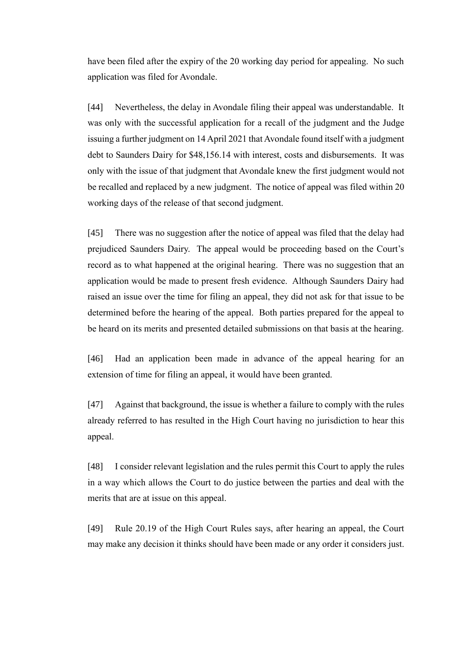have been filed after the expiry of the 20 working day period for appealing. No such application was filed for Avondale.

[44] Nevertheless, the delay in Avondale filing their appeal was understandable. It was only with the successful application for a recall of the judgment and the Judge issuing a further judgment on 14 April 2021 that Avondale found itself with a judgment debt to Saunders Dairy for \$48,156.14 with interest, costs and disbursements. It was only with the issue of that judgment that Avondale knew the first judgment would not be recalled and replaced by a new judgment. The notice of appeal was filed within 20 working days of the release of that second judgment.

[45] There was no suggestion after the notice of appeal was filed that the delay had prejudiced Saunders Dairy. The appeal would be proceeding based on the Court's record as to what happened at the original hearing. There was no suggestion that an application would be made to present fresh evidence. Although Saunders Dairy had raised an issue over the time for filing an appeal, they did not ask for that issue to be determined before the hearing of the appeal. Both parties prepared for the appeal to be heard on its merits and presented detailed submissions on that basis at the hearing.

[46] Had an application been made in advance of the appeal hearing for an extension of time for filing an appeal, it would have been granted.

[47] Against that background, the issue is whether a failure to comply with the rules already referred to has resulted in the High Court having no jurisdiction to hear this appeal.

[48] I consider relevant legislation and the rules permit this Court to apply the rules in a way which allows the Court to do justice between the parties and deal with the merits that are at issue on this appeal.

[49] Rule 20.19 of the High Court Rules says, after hearing an appeal, the Court may make any decision it thinks should have been made or any order it considers just.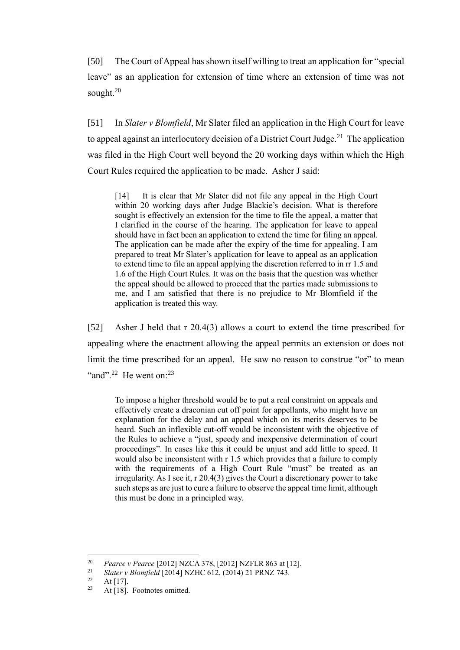[50] The Court of Appeal has shown itself willing to treat an application for "special leave" as an application for extension of time where an extension of time was not sought. 20

[51] In *Slater v Blomfield*, Mr Slater filed an application in the High Court for leave to appeal against an interlocutory decision of a District Court Judge.<sup>21</sup> The application was filed in the High Court well beyond the 20 working days within which the High Court Rules required the application to be made. Asher J said:

[14] It is clear that Mr Slater did not file any appeal in the High Court within 20 working days after Judge Blackie's decision. What is therefore sought is effectively an extension for the time to file the appeal, a matter that I clarified in the course of the hearing. The application for leave to appeal should have in fact been an application to extend the time for filing an appeal. The application can be made after the expiry of the time for appealing. I am prepared to treat Mr Slater's application for leave to appeal as an application to extend time to file an appeal applying the discretion referred to in rr 1.5 and 1.6 of the High Court Rules. It was on the basis that the question was whether the appeal should be allowed to proceed that the parties made submissions to me, and I am satisfied that there is no prejudice to Mr Blomfield if the application is treated this way.

[52] Asher J held that r 20.4(3) allows a court to extend the time prescribed for appealing where the enactment allowing the appeal permits an extension or does not limit the time prescribed for an appeal. He saw no reason to construe "or" to mean "and".<sup>22</sup> He went on: $^{23}$ 

To impose a higher threshold would be to put a real constraint on appeals and effectively create a draconian cut off point for appellants, who might have an explanation for the delay and an appeal which on its merits deserves to be heard. Such an inflexible cut-off would be inconsistent with the objective of the Rules to achieve a "just, speedy and inexpensive determination of court proceedings". In cases like this it could be unjust and add little to speed. It would also be inconsistent with r 1.5 which provides that a failure to comply with the requirements of a High Court Rule "must" be treated as an irregularity. As I see it, r 20.4(3) gives the Court a discretionary power to take such steps as are just to cure a failure to observe the appeal time limit, although this must be done in a principled way.

<sup>&</sup>lt;sup>20</sup> *Pearce v Pearce* [2012] NZCA 378, [2012] NZFLR 863 at [12].

<sup>&</sup>lt;sup>21</sup> *Slater v Blomfield* [2014] NZHC 612, (2014) 21 PRNZ 743.

 $\frac{22}{23}$  At [17].

At [18]. Footnotes omitted.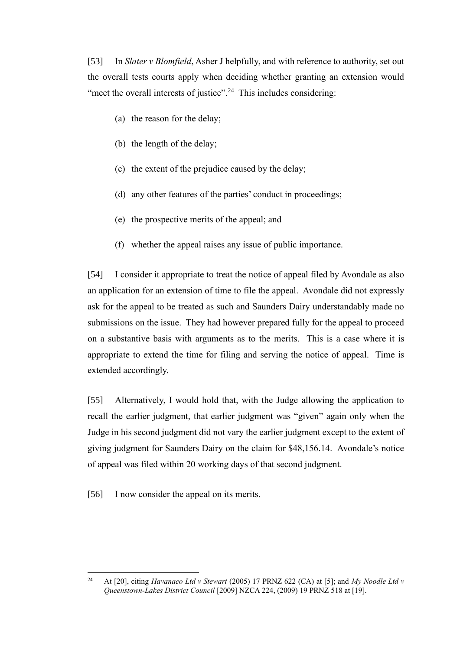[53] In *Slater v Blomfield*, Asher J helpfully, and with reference to authority, set out the overall tests courts apply when deciding whether granting an extension would "meet the overall interests of justice".<sup>24</sup> This includes considering:

- (a) the reason for the delay;
- (b) the length of the delay;
- (c) the extent of the prejudice caused by the delay;
- (d) any other features of the parties' conduct in proceedings;
- (e) the prospective merits of the appeal; and
- (f) whether the appeal raises any issue of public importance.

[54] I consider it appropriate to treat the notice of appeal filed by Avondale as also an application for an extension of time to file the appeal. Avondale did not expressly ask for the appeal to be treated as such and Saunders Dairy understandably made no submissions on the issue. They had however prepared fully for the appeal to proceed on a substantive basis with arguments as to the merits. This is a case where it is appropriate to extend the time for filing and serving the notice of appeal. Time is extended accordingly.

[55] Alternatively, I would hold that, with the Judge allowing the application to recall the earlier judgment, that earlier judgment was "given" again only when the Judge in his second judgment did not vary the earlier judgment except to the extent of giving judgment for Saunders Dairy on the claim for \$48,156.14. Avondale's notice of appeal was filed within 20 working days of that second judgment.

[56] I now consider the appeal on its merits.

<sup>24</sup> At [20], citing *Havanaco Ltd v Stewart* (2005) 17 PRNZ 622 (CA) at [5]; and *My Noodle Ltd v Queenstown-Lakes District Council* [2009] NZCA 224, (2009) 19 PRNZ 518 at [19].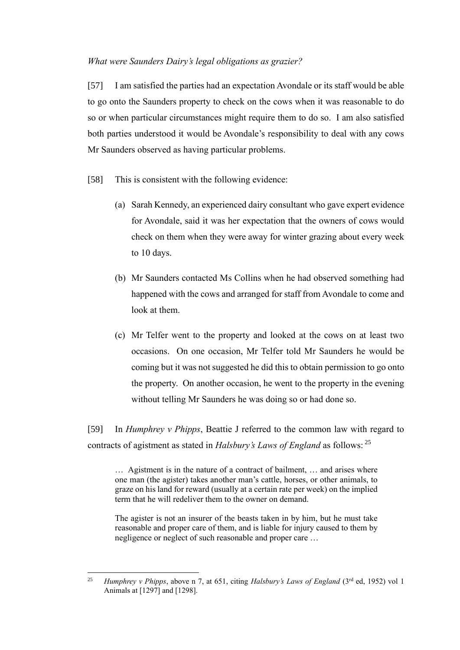### *What were Saunders Dairy's legal obligations as grazier?*

[57] I am satisfied the parties had an expectation Avondale or its staff would be able to go onto the Saunders property to check on the cows when it was reasonable to do so or when particular circumstances might require them to do so. I am also satisfied both parties understood it would be Avondale's responsibility to deal with any cows Mr Saunders observed as having particular problems.

- [58] This is consistent with the following evidence:
	- (a) Sarah Kennedy, an experienced dairy consultant who gave expert evidence for Avondale, said it was her expectation that the owners of cows would check on them when they were away for winter grazing about every week to 10 days.
	- (b) Mr Saunders contacted Ms Collins when he had observed something had happened with the cows and arranged for staff from Avondale to come and look at them.
	- (c) Mr Telfer went to the property and looked at the cows on at least two occasions. On one occasion, Mr Telfer told Mr Saunders he would be coming but it was not suggested he did this to obtain permission to go onto the property. On another occasion, he went to the property in the evening without telling Mr Saunders he was doing so or had done so.

[59] In *Humphrey v Phipps*, Beattie J referred to the common law with regard to contracts of agistment as stated in *Halsbury's Laws of England* as follows: <sup>25</sup>

… Agistment is in the nature of a contract of bailment, … and arises where one man (the agister) takes another man's cattle, horses, or other animals, to graze on his land for reward (usually at a certain rate per week) on the implied term that he will redeliver them to the owner on demand.

The agister is not an insurer of the beasts taken in by him, but he must take reasonable and proper care of them, and is liable for injury caused to them by negligence or neglect of such reasonable and proper care …

<sup>25</sup> *Humphrey v Phipps*, above n 7, at 651, citing *Halsbury's Laws of England* (3rd ed, 1952) vol 1 Animals at [1297] and [1298].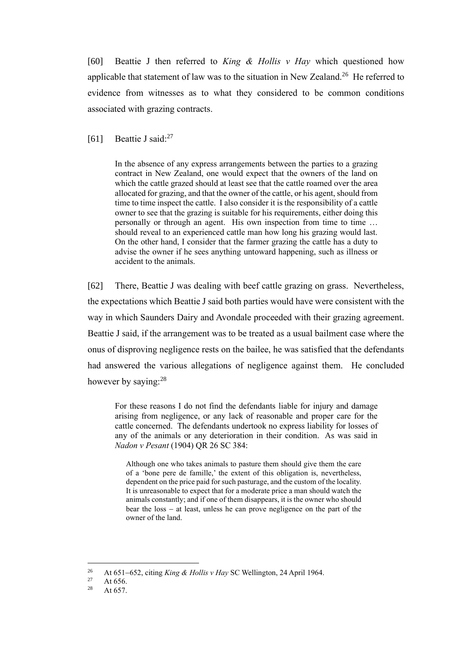[60] Beattie J then referred to *King & Hollis v Hay* which questioned how applicable that statement of law was to the situation in New Zealand.<sup>26</sup> He referred to evidence from witnesses as to what they considered to be common conditions associated with grazing contracts.

[61] Beattie J said:<sup>27</sup>

In the absence of any express arrangements between the parties to a grazing contract in New Zealand, one would expect that the owners of the land on which the cattle grazed should at least see that the cattle roamed over the area allocated for grazing, and that the owner of the cattle, or his agent, should from time to time inspect the cattle. I also consider it is the responsibility of a cattle owner to see that the grazing is suitable for his requirements, either doing this personally or through an agent. His own inspection from time to time … should reveal to an experienced cattle man how long his grazing would last. On the other hand, I consider that the farmer grazing the cattle has a duty to advise the owner if he sees anything untoward happening, such as illness or accident to the animals.

[62] There, Beattie J was dealing with beef cattle grazing on grass. Nevertheless, the expectations which Beattie J said both parties would have were consistent with the way in which Saunders Dairy and Avondale proceeded with their grazing agreement. Beattie J said, if the arrangement was to be treated as a usual bailment case where the onus of disproving negligence rests on the bailee, he was satisfied that the defendants had answered the various allegations of negligence against them. He concluded however by saying:<sup>28</sup>

For these reasons I do not find the defendants liable for injury and damage arising from negligence, or any lack of reasonable and proper care for the cattle concerned. The defendants undertook no express liability for losses of any of the animals or any deterioration in their condition. As was said in *Nadon v Pesant* (1904) QR 26 SC 384:

Although one who takes animals to pasture them should give them the care of a 'bone pere de famille,' the extent of this obligation is, nevertheless, dependent on the price paid for such pasturage, and the custom of the locality. It is unreasonable to expect that for a moderate price a man should watch the animals constantly; and if one of them disappears, it is the owner who should bear the loss − at least, unless he can prove negligence on the part of the owner of the land.

<sup>&</sup>lt;sup>26</sup> At 651–652, citing *King & Hollis v Hay* SC Wellington, 24 April 1964.

<sup>&</sup>lt;sup>27</sup> At 656.<br><sup>28</sup> At 657

At 657.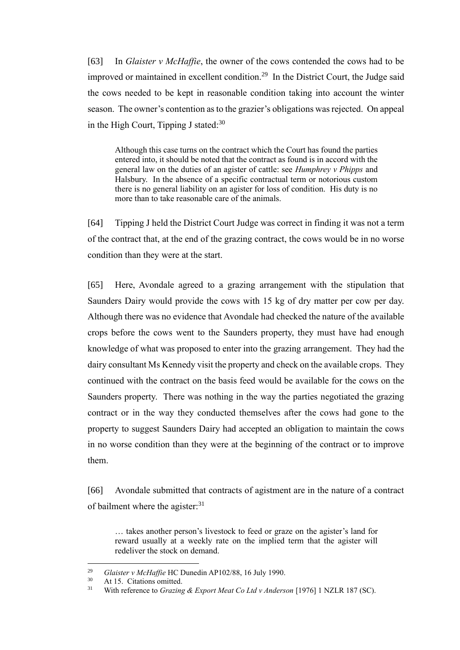[63] In *Glaister v McHaffie*, the owner of the cows contended the cows had to be improved or maintained in excellent condition.<sup>29</sup> In the District Court, the Judge said the cows needed to be kept in reasonable condition taking into account the winter season. The owner's contention as to the grazier's obligations was rejected. On appeal in the High Court, Tipping J stated: $30$ 

Although this case turns on the contract which the Court has found the parties entered into, it should be noted that the contract as found is in accord with the general law on the duties of an agister of cattle: see *Humphrey v Phipps* and Halsbury. In the absence of a specific contractual term or notorious custom there is no general liability on an agister for loss of condition. His duty is no more than to take reasonable care of the animals.

[64] Tipping J held the District Court Judge was correct in finding it was not a term of the contract that, at the end of the grazing contract, the cows would be in no worse condition than they were at the start.

[65] Here, Avondale agreed to a grazing arrangement with the stipulation that Saunders Dairy would provide the cows with 15 kg of dry matter per cow per day. Although there was no evidence that Avondale had checked the nature of the available crops before the cows went to the Saunders property, they must have had enough knowledge of what was proposed to enter into the grazing arrangement. They had the dairy consultant Ms Kennedy visit the property and check on the available crops. They continued with the contract on the basis feed would be available for the cows on the Saunders property. There was nothing in the way the parties negotiated the grazing contract or in the way they conducted themselves after the cows had gone to the property to suggest Saunders Dairy had accepted an obligation to maintain the cows in no worse condition than they were at the beginning of the contract or to improve them.

[66] Avondale submitted that contracts of agistment are in the nature of a contract of bailment where the agister:<sup>31</sup>

… takes another person's livestock to feed or graze on the agister's land for reward usually at a weekly rate on the implied term that the agister will redeliver the stock on demand.

<sup>&</sup>lt;sup>29</sup> *Glaister v McHaffie* HC Dunedin AP102/88, 16 July 1990.<br><sup>30</sup> At 15. Citations omitted

 $30$  At 15. Citations omitted.<br> $31$  With reference to *Grazing* 

<sup>31</sup> With reference to *Grazing & Export Meat Co Ltd v Anderson* [1976] 1 NZLR 187 (SC).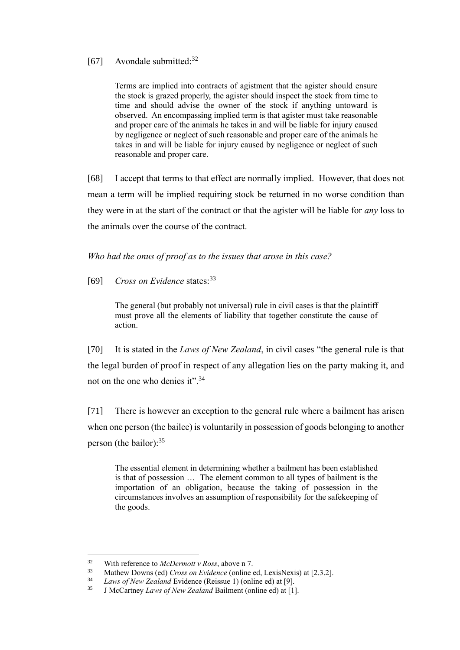# [67] Avondale submitted:<sup>32</sup>

Terms are implied into contracts of agistment that the agister should ensure the stock is grazed properly, the agister should inspect the stock from time to time and should advise the owner of the stock if anything untoward is observed. An encompassing implied term is that agister must take reasonable and proper care of the animals he takes in and will be liable for injury caused by negligence or neglect of such reasonable and proper care of the animals he takes in and will be liable for injury caused by negligence or neglect of such reasonable and proper care.

[68] I accept that terms to that effect are normally implied. However, that does not mean a term will be implied requiring stock be returned in no worse condition than they were in at the start of the contract or that the agister will be liable for *any* loss to the animals over the course of the contract.

*Who had the onus of proof as to the issues that arose in this case?*

[69] *Cross on Evidence* states:<sup>33</sup>

The general (but probably not universal) rule in civil cases is that the plaintiff must prove all the elements of liability that together constitute the cause of action.

[70] It is stated in the *Laws of New Zealand*, in civil cases "the general rule is that the legal burden of proof in respect of any allegation lies on the party making it, and not on the one who denies it".<sup>34</sup>

[71] There is however an exception to the general rule where a bailment has arisen when one person (the bailee) is voluntarily in possession of goods belonging to another person (the bailor): $35$ 

The essential element in determining whether a bailment has been established is that of possession … The element common to all types of bailment is the importation of an obligation, because the taking of possession in the circumstances involves an assumption of responsibility for the safekeeping of the goods.

<sup>32</sup> With reference to *McDermott v Ross*, above n 7.

<sup>33</sup> Mathew Downs (ed) *Cross on Evidence* (online ed, LexisNexis) at [2.3.2].

Laws of New Zealand Evidence (Reissue 1) (online ed) at [9].

<sup>35</sup> J McCartney *Laws of New Zealand* Bailment (online ed) at [1].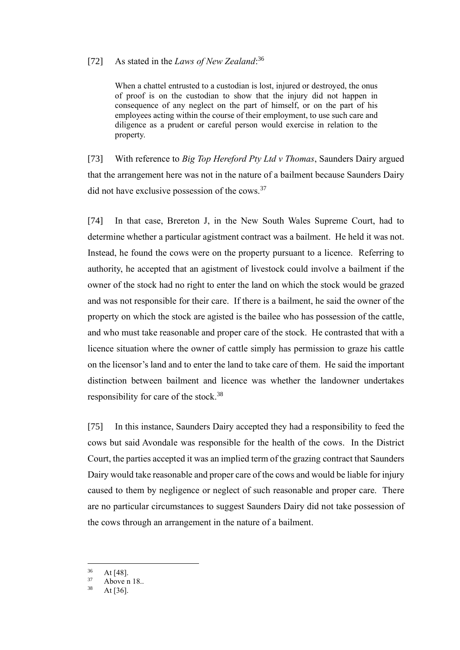# [72] As stated in the *Laws of New Zealand*: 36

When a chattel entrusted to a custodian is lost, injured or destroyed, the onus of proof is on the custodian to show that the injury did not happen in consequence of any neglect on the part of himself, or on the part of his employees acting within the course of their employment, to use such care and diligence as a prudent or careful person would exercise in relation to the property.

[73] With reference to *Big Top Hereford Pty Ltd v Thomas*, Saunders Dairy argued that the arrangement here was not in the nature of a bailment because Saunders Dairy did not have exclusive possession of the cows.<sup>37</sup>

[74] In that case, Brereton J, in the New South Wales Supreme Court, had to determine whether a particular agistment contract was a bailment. He held it was not. Instead, he found the cows were on the property pursuant to a licence. Referring to authority, he accepted that an agistment of livestock could involve a bailment if the owner of the stock had no right to enter the land on which the stock would be grazed and was not responsible for their care. If there is a bailment, he said the owner of the property on which the stock are agisted is the bailee who has possession of the cattle, and who must take reasonable and proper care of the stock. He contrasted that with a licence situation where the owner of cattle simply has permission to graze his cattle on the licensor's land and to enter the land to take care of them. He said the important distinction between bailment and licence was whether the landowner undertakes responsibility for care of the stock.<sup>38</sup>

[75] In this instance, Saunders Dairy accepted they had a responsibility to feed the cows but said Avondale was responsible for the health of the cows. In the District Court, the parties accepted it was an implied term of the grazing contract that Saunders Dairy would take reasonable and proper care of the cows and would be liable for injury caused to them by negligence or neglect of such reasonable and proper care. There are no particular circumstances to suggest Saunders Dairy did not take possession of the cows through an arrangement in the nature of a bailment.

 $\frac{36}{37}$  At [48].

 $37$  Above n 18..

At  $[36]$ .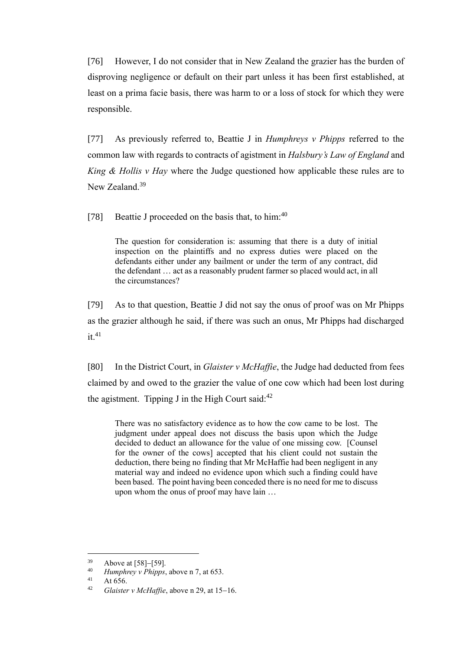[76] However, I do not consider that in New Zealand the grazier has the burden of disproving negligence or default on their part unless it has been first established, at least on a prima facie basis, there was harm to or a loss of stock for which they were responsible.

[77] As previously referred to, Beattie J in *Humphreys v Phipps* referred to the common law with regards to contracts of agistment in *Halsbury's Law of England* and *King & Hollis v Hay* where the Judge questioned how applicable these rules are to New Zealand.<sup>39</sup>

[78] Beattie J proceeded on the basis that, to him: $40$ 

The question for consideration is: assuming that there is a duty of initial inspection on the plaintiffs and no express duties were placed on the defendants either under any bailment or under the term of any contract, did the defendant … act as a reasonably prudent farmer so placed would act, in all the circumstances?

[79] As to that question, Beattie J did not say the onus of proof was on Mr Phipps as the grazier although he said, if there was such an onus, Mr Phipps had discharged  $it.41$ 

[80] In the District Court, in *Glaister v McHaffie*, the Judge had deducted from fees claimed by and owed to the grazier the value of one cow which had been lost during the agistment. Tipping J in the High Court said: $42$ 

There was no satisfactory evidence as to how the cow came to be lost. The judgment under appeal does not discuss the basis upon which the Judge decided to deduct an allowance for the value of one missing cow. [Counsel for the owner of the cows] accepted that his client could not sustain the deduction, there being no finding that Mr McHaffie had been negligent in any material way and indeed no evidence upon which such a finding could have been based. The point having been conceded there is no need for me to discuss upon whom the onus of proof may have lain …

 $39$  Above at [58]–[59].<br> $40$  Humphrey y Phinns

<sup>&</sup>lt;sup>40</sup> *Humphrey v Phipps*, above n 7, at 653.

At 656.

<sup>42</sup> *Glaister v McHaffie*, above n 29, at 15−16.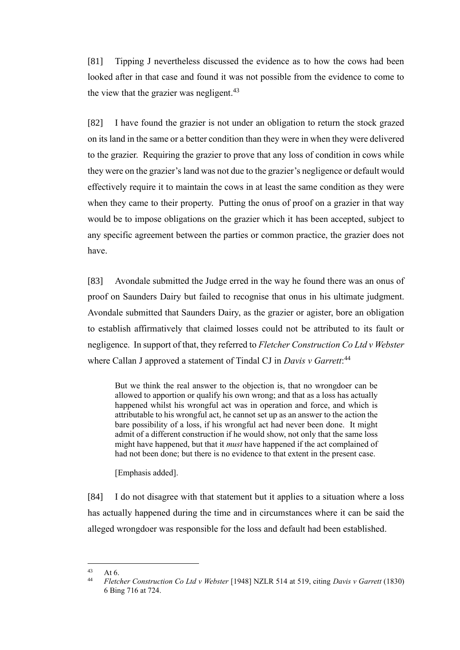[81] Tipping J nevertheless discussed the evidence as to how the cows had been looked after in that case and found it was not possible from the evidence to come to the view that the grazier was negligent.<sup>43</sup>

[82] I have found the grazier is not under an obligation to return the stock grazed on its land in the same or a better condition than they were in when they were delivered to the grazier. Requiring the grazier to prove that any loss of condition in cows while they were on the grazier's land was not due to the grazier's negligence or default would effectively require it to maintain the cows in at least the same condition as they were when they came to their property. Putting the onus of proof on a grazier in that way would be to impose obligations on the grazier which it has been accepted, subject to any specific agreement between the parties or common practice, the grazier does not have.

[83] Avondale submitted the Judge erred in the way he found there was an onus of proof on Saunders Dairy but failed to recognise that onus in his ultimate judgment. Avondale submitted that Saunders Dairy, as the grazier or agister, bore an obligation to establish affirmatively that claimed losses could not be attributed to its fault or negligence. In support of that, they referred to *Fletcher Construction Co Ltd v Webster* where Callan J approved a statement of Tindal CJ in *Davis v Garrett*: 44

But we think the real answer to the objection is, that no wrongdoer can be allowed to apportion or qualify his own wrong; and that as a loss has actually happened whilst his wrongful act was in operation and force, and which is attributable to his wrongful act, he cannot set up as an answer to the action the bare possibility of a loss, if his wrongful act had never been done. It might admit of a different construction if he would show, not only that the same loss might have happened, but that it *must* have happened if the act complained of had not been done; but there is no evidence to that extent in the present case.

[Emphasis added].

[84] I do not disagree with that statement but it applies to a situation where a loss has actually happened during the time and in circumstances where it can be said the alleged wrongdoer was responsible for the loss and default had been established.

 $43$  At 6.

<sup>44</sup> *Fletcher Construction Co Ltd v Webster* [1948] NZLR 514 at 519, citing *Davis v Garrett* (1830) 6 Bing 716 at 724.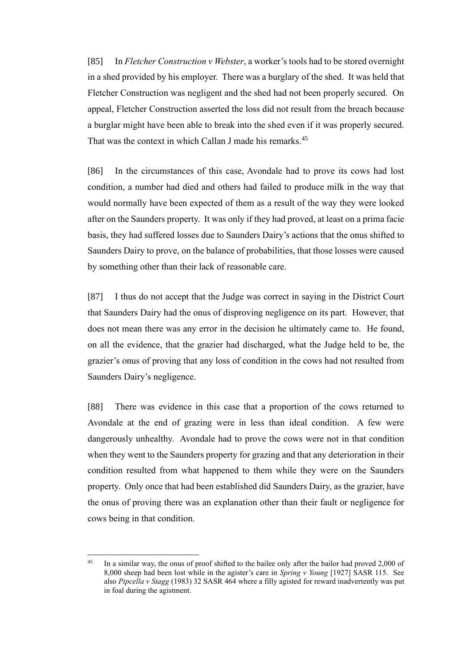[85] In *Fletcher Construction v Webster*, a worker's tools had to be stored overnight in a shed provided by his employer. There was a burglary of the shed. It was held that Fletcher Construction was negligent and the shed had not been properly secured. On appeal, Fletcher Construction asserted the loss did not result from the breach because a burglar might have been able to break into the shed even if it was properly secured. That was the context in which Callan J made his remarks.<sup>45</sup>

[86] In the circumstances of this case, Avondale had to prove its cows had lost condition, a number had died and others had failed to produce milk in the way that would normally have been expected of them as a result of the way they were looked after on the Saunders property. It was only if they had proved, at least on a prima facie basis, they had suffered losses due to Saunders Dairy's actions that the onus shifted to Saunders Dairy to prove, on the balance of probabilities, that those losses were caused by something other than their lack of reasonable care.

[87] I thus do not accept that the Judge was correct in saying in the District Court that Saunders Dairy had the onus of disproving negligence on its part. However, that does not mean there was any error in the decision he ultimately came to. He found, on all the evidence, that the grazier had discharged, what the Judge held to be, the grazier's onus of proving that any loss of condition in the cows had not resulted from Saunders Dairy's negligence.

[88] There was evidence in this case that a proportion of the cows returned to Avondale at the end of grazing were in less than ideal condition. A few were dangerously unhealthy. Avondale had to prove the cows were not in that condition when they went to the Saunders property for grazing and that any deterioration in their condition resulted from what happened to them while they were on the Saunders property. Only once that had been established did Saunders Dairy, as the grazier, have the onus of proving there was an explanation other than their fault or negligence for cows being in that condition.

<sup>&</sup>lt;sup>45</sup> In a similar way, the onus of proof shifted to the bailee only after the bailor had proved 2,000 of 8,000 sheep had been lost while in the agister's care in *Spring v Young* [1927] SASR 115. See also *Pipcella v Stagg* (1983) 32 SASR 464 where a filly agisted for reward inadvertently was put in foal during the agistment.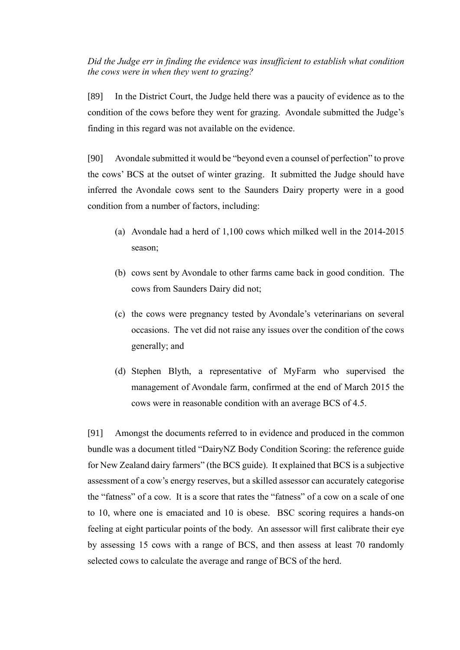*Did the Judge err in finding the evidence was insufficient to establish what condition the cows were in when they went to grazing?*

[89] In the District Court, the Judge held there was a paucity of evidence as to the condition of the cows before they went for grazing. Avondale submitted the Judge's finding in this regard was not available on the evidence.

[90] Avondale submitted it would be "beyond even a counsel of perfection" to prove the cows' BCS at the outset of winter grazing. It submitted the Judge should have inferred the Avondale cows sent to the Saunders Dairy property were in a good condition from a number of factors, including:

- (a) Avondale had a herd of 1,100 cows which milked well in the 2014-2015 season;
- (b) cows sent by Avondale to other farms came back in good condition. The cows from Saunders Dairy did not;
- (c) the cows were pregnancy tested by Avondale's veterinarians on several occasions. The vet did not raise any issues over the condition of the cows generally; and
- (d) Stephen Blyth, a representative of MyFarm who supervised the management of Avondale farm, confirmed at the end of March 2015 the cows were in reasonable condition with an average BCS of 4.5.

[91] Amongst the documents referred to in evidence and produced in the common bundle was a document titled "DairyNZ Body Condition Scoring: the reference guide for New Zealand dairy farmers" (the BCS guide). It explained that BCS is a subjective assessment of a cow's energy reserves, but a skilled assessor can accurately categorise the "fatness" of a cow. It is a score that rates the "fatness" of a cow on a scale of one to 10, where one is emaciated and 10 is obese. BSC scoring requires a hands-on feeling at eight particular points of the body. An assessor will first calibrate their eye by assessing 15 cows with a range of BCS, and then assess at least 70 randomly selected cows to calculate the average and range of BCS of the herd.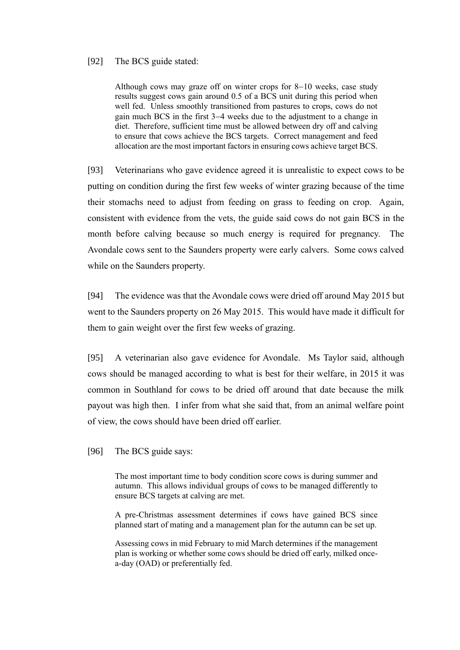### [92] The BCS guide stated:

Although cows may graze off on winter crops for 8−10 weeks, case study results suggest cows gain around 0.5 of a BCS unit during this period when well fed. Unless smoothly transitioned from pastures to crops, cows do not gain much BCS in the first 3−4 weeks due to the adjustment to a change in diet. Therefore, sufficient time must be allowed between dry off and calving to ensure that cows achieve the BCS targets. Correct management and feed allocation are the most important factors in ensuring cows achieve target BCS.

[93] Veterinarians who gave evidence agreed it is unrealistic to expect cows to be putting on condition during the first few weeks of winter grazing because of the time their stomachs need to adjust from feeding on grass to feeding on crop. Again, consistent with evidence from the vets, the guide said cows do not gain BCS in the month before calving because so much energy is required for pregnancy. The Avondale cows sent to the Saunders property were early calvers. Some cows calved while on the Saunders property.

[94] The evidence was that the Avondale cows were dried off around May 2015 but went to the Saunders property on 26 May 2015. This would have made it difficult for them to gain weight over the first few weeks of grazing.

[95] A veterinarian also gave evidence for Avondale. Ms Taylor said, although cows should be managed according to what is best for their welfare, in 2015 it was common in Southland for cows to be dried off around that date because the milk payout was high then. I infer from what she said that, from an animal welfare point of view, the cows should have been dried off earlier.

[96] The BCS guide says:

The most important time to body condition score cows is during summer and autumn. This allows individual groups of cows to be managed differently to ensure BCS targets at calving are met.

A pre-Christmas assessment determines if cows have gained BCS since planned start of mating and a management plan for the autumn can be set up.

Assessing cows in mid February to mid March determines if the management plan is working or whether some cows should be dried off early, milked oncea-day (OAD) or preferentially fed.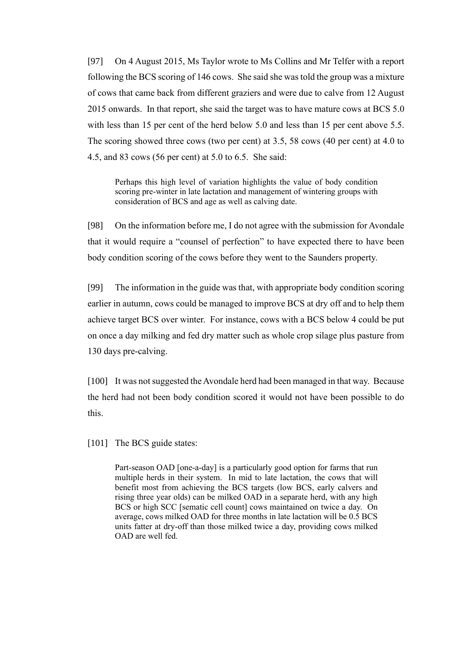[97] On 4 August 2015, Ms Taylor wrote to Ms Collins and Mr Telfer with a report following the BCS scoring of 146 cows. She said she was told the group was a mixture of cows that came back from different graziers and were due to calve from 12 August 2015 onwards. In that report, she said the target was to have mature cows at BCS 5.0 with less than 15 per cent of the herd below 5.0 and less than 15 per cent above 5.5. The scoring showed three cows (two per cent) at 3.5, 58 cows (40 per cent) at 4.0 to 4.5, and 83 cows (56 per cent) at 5.0 to 6.5. She said:

Perhaps this high level of variation highlights the value of body condition scoring pre-winter in late lactation and management of wintering groups with consideration of BCS and age as well as calving date.

[98] On the information before me, I do not agree with the submission for Avondale that it would require a "counsel of perfection" to have expected there to have been body condition scoring of the cows before they went to the Saunders property.

[99] The information in the guide was that, with appropriate body condition scoring earlier in autumn, cows could be managed to improve BCS at dry off and to help them achieve target BCS over winter. For instance, cows with a BCS below 4 could be put on once a day milking and fed dry matter such as whole crop silage plus pasture from 130 days pre-calving.

[100] It was not suggested the Avondale herd had been managed in that way. Because the herd had not been body condition scored it would not have been possible to do this.

[101] The BCS guide states:

Part-season OAD [one-a-day] is a particularly good option for farms that run multiple herds in their system. In mid to late lactation, the cows that will benefit most from achieving the BCS targets (low BCS, early calvers and rising three year olds) can be milked OAD in a separate herd, with any high BCS or high SCC [sematic cell count] cows maintained on twice a day. On average, cows milked OAD for three months in late lactation will be 0.5 BCS units fatter at dry-off than those milked twice a day, providing cows milked OAD are well fed.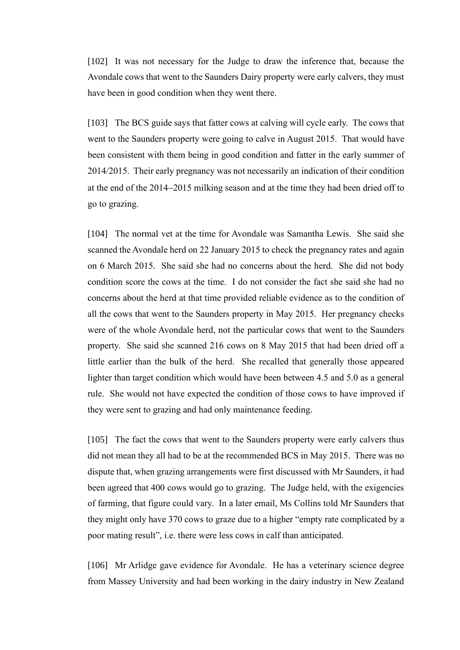[102] It was not necessary for the Judge to draw the inference that, because the Avondale cows that went to the Saunders Dairy property were early calvers, they must have been in good condition when they went there.

[103] The BCS guide says that fatter cows at calving will cycle early. The cows that went to the Saunders property were going to calve in August 2015. That would have been consistent with them being in good condition and fatter in the early summer of 2014/2015. Their early pregnancy was not necessarily an indication of their condition at the end of the 2014−2015 milking season and at the time they had been dried off to go to grazing.

[104] The normal vet at the time for Avondale was Samantha Lewis. She said she scanned the Avondale herd on 22 January 2015 to check the pregnancy rates and again on 6 March 2015. She said she had no concerns about the herd. She did not body condition score the cows at the time. I do not consider the fact she said she had no concerns about the herd at that time provided reliable evidence as to the condition of all the cows that went to the Saunders property in May 2015. Her pregnancy checks were of the whole Avondale herd, not the particular cows that went to the Saunders property. She said she scanned 216 cows on 8 May 2015 that had been dried off a little earlier than the bulk of the herd. She recalled that generally those appeared lighter than target condition which would have been between 4.5 and 5.0 as a general rule. She would not have expected the condition of those cows to have improved if they were sent to grazing and had only maintenance feeding.

[105] The fact the cows that went to the Saunders property were early calvers thus did not mean they all had to be at the recommended BCS in May 2015. There was no dispute that, when grazing arrangements were first discussed with Mr Saunders, it had been agreed that 400 cows would go to grazing. The Judge held, with the exigencies of farming, that figure could vary. In a later email, Ms Collins told Mr Saunders that they might only have 370 cows to graze due to a higher "empty rate complicated by a poor mating result", i.e. there were less cows in calf than anticipated.

[106] Mr Arlidge gave evidence for Avondale. He has a veterinary science degree from Massey University and had been working in the dairy industry in New Zealand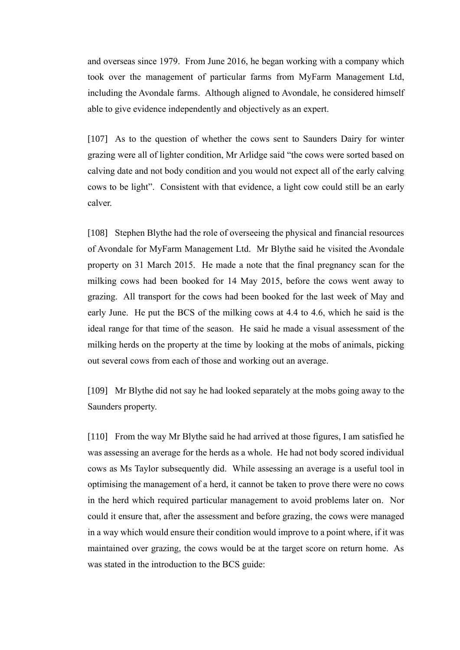and overseas since 1979. From June 2016, he began working with a company which took over the management of particular farms from MyFarm Management Ltd, including the Avondale farms. Although aligned to Avondale, he considered himself able to give evidence independently and objectively as an expert.

[107] As to the question of whether the cows sent to Saunders Dairy for winter grazing were all of lighter condition, Mr Arlidge said "the cows were sorted based on calving date and not body condition and you would not expect all of the early calving cows to be light". Consistent with that evidence, a light cow could still be an early calver.

[108] Stephen Blythe had the role of overseeing the physical and financial resources of Avondale for MyFarm Management Ltd. Mr Blythe said he visited the Avondale property on 31 March 2015. He made a note that the final pregnancy scan for the milking cows had been booked for 14 May 2015, before the cows went away to grazing. All transport for the cows had been booked for the last week of May and early June. He put the BCS of the milking cows at 4.4 to 4.6, which he said is the ideal range for that time of the season. He said he made a visual assessment of the milking herds on the property at the time by looking at the mobs of animals, picking out several cows from each of those and working out an average.

[109] Mr Blythe did not say he had looked separately at the mobs going away to the Saunders property.

[110] From the way Mr Blythe said he had arrived at those figures, I am satisfied he was assessing an average for the herds as a whole. He had not body scored individual cows as Ms Taylor subsequently did. While assessing an average is a useful tool in optimising the management of a herd, it cannot be taken to prove there were no cows in the herd which required particular management to avoid problems later on. Nor could it ensure that, after the assessment and before grazing, the cows were managed in a way which would ensure their condition would improve to a point where, if it was maintained over grazing, the cows would be at the target score on return home. As was stated in the introduction to the BCS guide: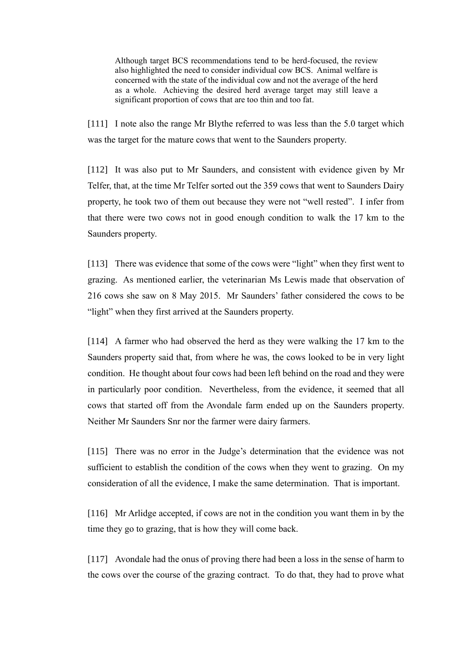Although target BCS recommendations tend to be herd-focused, the review also highlighted the need to consider individual cow BCS. Animal welfare is concerned with the state of the individual cow and not the average of the herd as a whole. Achieving the desired herd average target may still leave a significant proportion of cows that are too thin and too fat.

[111] I note also the range Mr Blythe referred to was less than the 5.0 target which was the target for the mature cows that went to the Saunders property.

[112] It was also put to Mr Saunders, and consistent with evidence given by Mr Telfer, that, at the time Mr Telfer sorted out the 359 cows that went to Saunders Dairy property, he took two of them out because they were not "well rested". I infer from that there were two cows not in good enough condition to walk the 17 km to the Saunders property.

[113] There was evidence that some of the cows were "light" when they first went to grazing. As mentioned earlier, the veterinarian Ms Lewis made that observation of 216 cows she saw on 8 May 2015. Mr Saunders' father considered the cows to be "light" when they first arrived at the Saunders property.

[114] A farmer who had observed the herd as they were walking the 17 km to the Saunders property said that, from where he was, the cows looked to be in very light condition. He thought about four cows had been left behind on the road and they were in particularly poor condition. Nevertheless, from the evidence, it seemed that all cows that started off from the Avondale farm ended up on the Saunders property. Neither Mr Saunders Snr nor the farmer were dairy farmers.

[115] There was no error in the Judge's determination that the evidence was not sufficient to establish the condition of the cows when they went to grazing. On my consideration of all the evidence, I make the same determination. That is important.

[116] Mr Arlidge accepted, if cows are not in the condition you want them in by the time they go to grazing, that is how they will come back.

[117] Avondale had the onus of proving there had been a loss in the sense of harm to the cows over the course of the grazing contract. To do that, they had to prove what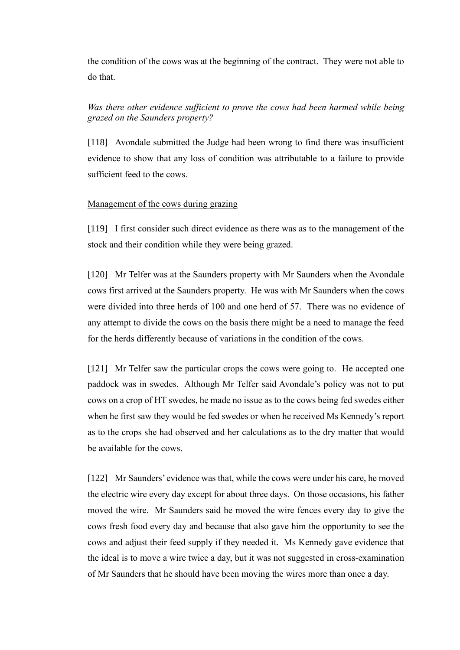the condition of the cows was at the beginning of the contract. They were not able to do that.

# *Was there other evidence sufficient to prove the cows had been harmed while being grazed on the Saunders property?*

[118] Avondale submitted the Judge had been wrong to find there was insufficient evidence to show that any loss of condition was attributable to a failure to provide sufficient feed to the cows.

## Management of the cows during grazing

[119] I first consider such direct evidence as there was as to the management of the stock and their condition while they were being grazed.

[120] Mr Telfer was at the Saunders property with Mr Saunders when the Avondale cows first arrived at the Saunders property. He was with Mr Saunders when the cows were divided into three herds of 100 and one herd of 57. There was no evidence of any attempt to divide the cows on the basis there might be a need to manage the feed for the herds differently because of variations in the condition of the cows.

[121] Mr Telfer saw the particular crops the cows were going to. He accepted one paddock was in swedes. Although Mr Telfer said Avondale's policy was not to put cows on a crop of HT swedes, he made no issue as to the cows being fed swedes either when he first saw they would be fed swedes or when he received Ms Kennedy's report as to the crops she had observed and her calculations as to the dry matter that would be available for the cows.

[122] Mr Saunders' evidence was that, while the cows were under his care, he moved the electric wire every day except for about three days. On those occasions, his father moved the wire. Mr Saunders said he moved the wire fences every day to give the cows fresh food every day and because that also gave him the opportunity to see the cows and adjust their feed supply if they needed it. Ms Kennedy gave evidence that the ideal is to move a wire twice a day, but it was not suggested in cross-examination of Mr Saunders that he should have been moving the wires more than once a day.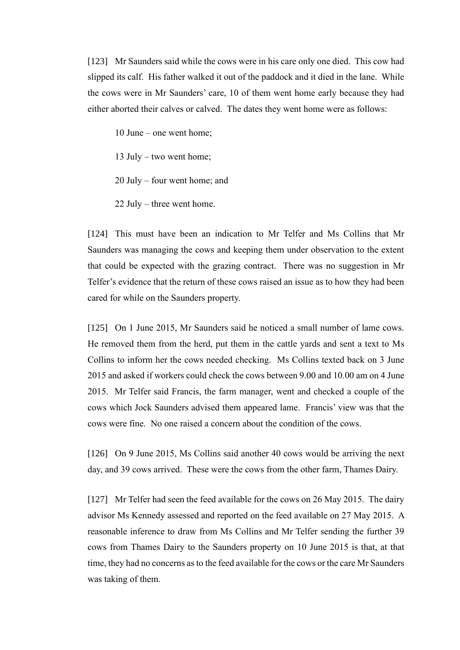[123] Mr Saunders said while the cows were in his care only one died. This cow had slipped its calf. His father walked it out of the paddock and it died in the lane. While the cows were in Mr Saunders' care, 10 of them went home early because they had either aborted their calves or calved. The dates they went home were as follows:

10 June – one went home;

13 July – two went home;

20 July – four went home; and

22 July – three went home.

[124] This must have been an indication to Mr Telfer and Ms Collins that Mr Saunders was managing the cows and keeping them under observation to the extent that could be expected with the grazing contract. There was no suggestion in Mr Telfer's evidence that the return of these cows raised an issue as to how they had been cared for while on the Saunders property.

[125] On 1 June 2015, Mr Saunders said he noticed a small number of lame cows. He removed them from the herd, put them in the cattle yards and sent a text to Ms Collins to inform her the cows needed checking. Ms Collins texted back on 3 June 2015 and asked if workers could check the cows between 9.00 and 10.00 am on 4 June 2015. Mr Telfer said Francis, the farm manager, went and checked a couple of the cows which Jock Saunders advised them appeared lame. Francis' view was that the cows were fine. No one raised a concern about the condition of the cows.

[126] On 9 June 2015, Ms Collins said another 40 cows would be arriving the next day, and 39 cows arrived. These were the cows from the other farm, Thames Dairy.

[127] Mr Telfer had seen the feed available for the cows on 26 May 2015. The dairy advisor Ms Kennedy assessed and reported on the feed available on 27 May 2015. A reasonable inference to draw from Ms Collins and Mr Telfer sending the further 39 cows from Thames Dairy to the Saunders property on 10 June 2015 is that, at that time, they had no concerns as to the feed available for the cows or the care Mr Saunders was taking of them.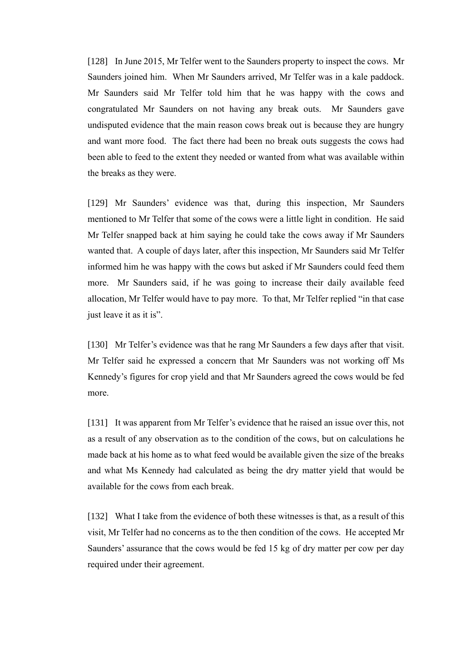[128] In June 2015, Mr Telfer went to the Saunders property to inspect the cows. Mr Saunders joined him. When Mr Saunders arrived, Mr Telfer was in a kale paddock. Mr Saunders said Mr Telfer told him that he was happy with the cows and congratulated Mr Saunders on not having any break outs. Mr Saunders gave undisputed evidence that the main reason cows break out is because they are hungry and want more food. The fact there had been no break outs suggests the cows had been able to feed to the extent they needed or wanted from what was available within the breaks as they were.

[129] Mr Saunders' evidence was that, during this inspection, Mr Saunders mentioned to Mr Telfer that some of the cows were a little light in condition. He said Mr Telfer snapped back at him saying he could take the cows away if Mr Saunders wanted that. A couple of days later, after this inspection, Mr Saunders said Mr Telfer informed him he was happy with the cows but asked if Mr Saunders could feed them more. Mr Saunders said, if he was going to increase their daily available feed allocation, Mr Telfer would have to pay more. To that, Mr Telfer replied "in that case just leave it as it is".

[130] Mr Telfer's evidence was that he rang Mr Saunders a few days after that visit. Mr Telfer said he expressed a concern that Mr Saunders was not working off Ms Kennedy's figures for crop yield and that Mr Saunders agreed the cows would be fed more.

[131] It was apparent from Mr Telfer's evidence that he raised an issue over this, not as a result of any observation as to the condition of the cows, but on calculations he made back at his home as to what feed would be available given the size of the breaks and what Ms Kennedy had calculated as being the dry matter yield that would be available for the cows from each break.

[132] What I take from the evidence of both these witnesses is that, as a result of this visit, Mr Telfer had no concerns as to the then condition of the cows. He accepted Mr Saunders' assurance that the cows would be fed 15 kg of dry matter per cow per day required under their agreement.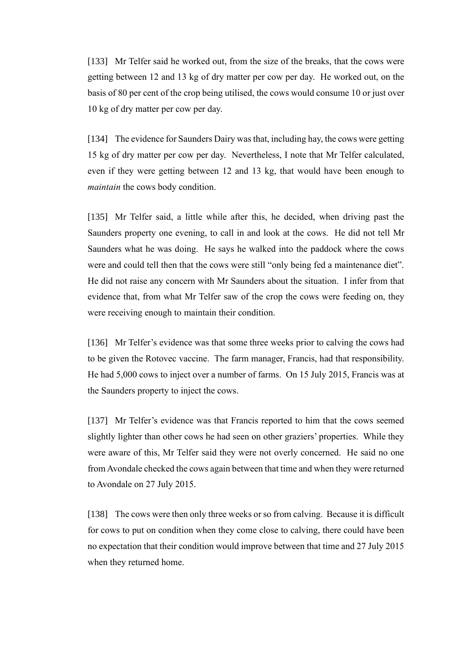[133] Mr Telfer said he worked out, from the size of the breaks, that the cows were getting between 12 and 13 kg of dry matter per cow per day. He worked out, on the basis of 80 per cent of the crop being utilised, the cows would consume 10 or just over 10 kg of dry matter per cow per day.

[134] The evidence for Saunders Dairy was that, including hay, the cows were getting 15 kg of dry matter per cow per day. Nevertheless, I note that Mr Telfer calculated, even if they were getting between 12 and 13 kg, that would have been enough to *maintain* the cows body condition.

[135] Mr Telfer said, a little while after this, he decided, when driving past the Saunders property one evening, to call in and look at the cows. He did not tell Mr Saunders what he was doing. He says he walked into the paddock where the cows were and could tell then that the cows were still "only being fed a maintenance diet". He did not raise any concern with Mr Saunders about the situation. I infer from that evidence that, from what Mr Telfer saw of the crop the cows were feeding on, they were receiving enough to maintain their condition.

[136] Mr Telfer's evidence was that some three weeks prior to calving the cows had to be given the Rotovec vaccine. The farm manager, Francis, had that responsibility. He had 5,000 cows to inject over a number of farms. On 15 July 2015, Francis was at the Saunders property to inject the cows.

[137] Mr Telfer's evidence was that Francis reported to him that the cows seemed slightly lighter than other cows he had seen on other graziers' properties. While they were aware of this, Mr Telfer said they were not overly concerned. He said no one from Avondale checked the cows again between that time and when they were returned to Avondale on 27 July 2015.

[138] The cows were then only three weeks or so from calving. Because it is difficult for cows to put on condition when they come close to calving, there could have been no expectation that their condition would improve between that time and 27 July 2015 when they returned home.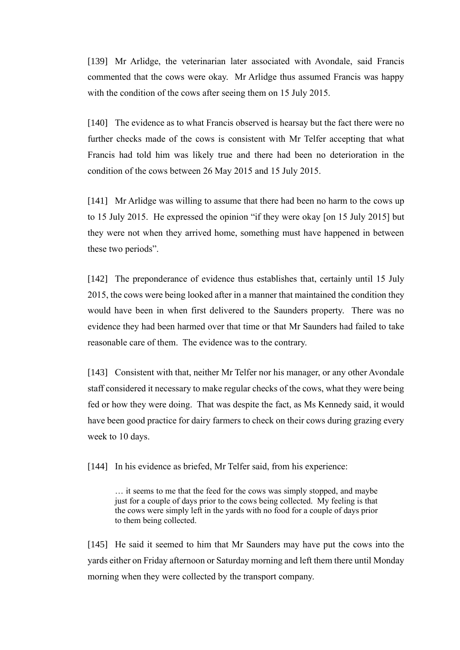[139] Mr Arlidge, the veterinarian later associated with Avondale, said Francis commented that the cows were okay. Mr Arlidge thus assumed Francis was happy with the condition of the cows after seeing them on 15 July 2015.

[140] The evidence as to what Francis observed is hearsay but the fact there were no further checks made of the cows is consistent with Mr Telfer accepting that what Francis had told him was likely true and there had been no deterioration in the condition of the cows between 26 May 2015 and 15 July 2015.

[141] Mr Arlidge was willing to assume that there had been no harm to the cows up to 15 July 2015. He expressed the opinion "if they were okay [on 15 July 2015] but they were not when they arrived home, something must have happened in between these two periods".

[142] The preponderance of evidence thus establishes that, certainly until 15 July 2015, the cows were being looked after in a manner that maintained the condition they would have been in when first delivered to the Saunders property. There was no evidence they had been harmed over that time or that Mr Saunders had failed to take reasonable care of them. The evidence was to the contrary.

[143] Consistent with that, neither Mr Telfer nor his manager, or any other Avondale staff considered it necessary to make regular checks of the cows, what they were being fed or how they were doing. That was despite the fact, as Ms Kennedy said, it would have been good practice for dairy farmers to check on their cows during grazing every week to 10 days.

[144] In his evidence as briefed, Mr Telfer said, from his experience:

… it seems to me that the feed for the cows was simply stopped, and maybe just for a couple of days prior to the cows being collected. My feeling is that the cows were simply left in the yards with no food for a couple of days prior to them being collected.

[145] He said it seemed to him that Mr Saunders may have put the cows into the yards either on Friday afternoon or Saturday morning and left them there until Monday morning when they were collected by the transport company.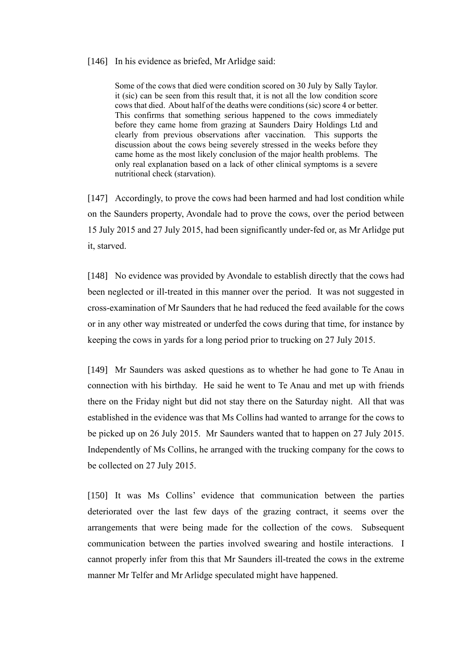#### [146] In his evidence as briefed, Mr Arlidge said:

Some of the cows that died were condition scored on 30 July by Sally Taylor. it (sic) can be seen from this result that, it is not all the low condition score cows that died. About half of the deaths were conditions (sic) score 4 or better. This confirms that something serious happened to the cows immediately before they came home from grazing at Saunders Dairy Holdings Ltd and clearly from previous observations after vaccination. This supports the discussion about the cows being severely stressed in the weeks before they came home as the most likely conclusion of the major health problems. The only real explanation based on a lack of other clinical symptoms is a severe nutritional check (starvation).

[147] Accordingly, to prove the cows had been harmed and had lost condition while on the Saunders property, Avondale had to prove the cows, over the period between 15 July 2015 and 27 July 2015, had been significantly under-fed or, as Mr Arlidge put it, starved.

[148] No evidence was provided by Avondale to establish directly that the cows had been neglected or ill-treated in this manner over the period. It was not suggested in cross-examination of Mr Saunders that he had reduced the feed available for the cows or in any other way mistreated or underfed the cows during that time, for instance by keeping the cows in yards for a long period prior to trucking on 27 July 2015.

[149] Mr Saunders was asked questions as to whether he had gone to Te Anau in connection with his birthday. He said he went to Te Anau and met up with friends there on the Friday night but did not stay there on the Saturday night. All that was established in the evidence was that Ms Collins had wanted to arrange for the cows to be picked up on 26 July 2015. Mr Saunders wanted that to happen on 27 July 2015. Independently of Ms Collins, he arranged with the trucking company for the cows to be collected on 27 July 2015.

[150] It was Ms Collins' evidence that communication between the parties deteriorated over the last few days of the grazing contract, it seems over the arrangements that were being made for the collection of the cows. Subsequent communication between the parties involved swearing and hostile interactions. I cannot properly infer from this that Mr Saunders ill-treated the cows in the extreme manner Mr Telfer and Mr Arlidge speculated might have happened.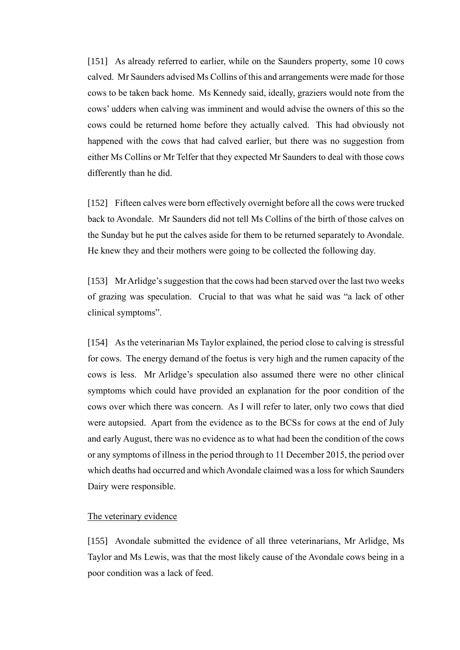[151] As already referred to earlier, while on the Saunders property, some 10 cows calved. Mr Saunders advised Ms Collins of this and arrangements were made for those cows to be taken back home. Ms Kennedy said, ideally, graziers would note from the cows' udders when calving was imminent and would advise the owners of this so the cows could be returned home before they actually calved. This had obviously not happened with the cows that had calved earlier, but there was no suggestion from either Ms Collins or Mr Telfer that they expected Mr Saunders to deal with those cows differently than he did.

[152] Fifteen calves were born effectively overnight before all the cows were trucked back to Avondale. Mr Saunders did not tell Ms Collins of the birth of those calves on the Sunday but he put the calves aside for them to be returned separately to Avondale. He knew they and their mothers were going to be collected the following day.

[153] Mr Arlidge's suggestion that the cows had been starved over the last two weeks of grazing was speculation. Crucial to that was what he said was "a lack of other clinical symptoms".

[154] As the veterinarian Ms Taylor explained, the period close to calving is stressful for cows. The energy demand of the foetus is very high and the rumen capacity of the cows is less. Mr Arlidge's speculation also assumed there were no other clinical symptoms which could have provided an explanation for the poor condition of the cows over which there was concern. As I will refer to later, only two cows that died were autopsied. Apart from the evidence as to the BCSs for cows at the end of July and early August, there was no evidence as to what had been the condition of the cows or any symptoms of illness in the period through to 11 December 2015, the period over which deaths had occurred and which Avondale claimed was a loss for which Saunders Dairy were responsible.

#### The veterinary evidence

[155] Avondale submitted the evidence of all three veterinarians, Mr Arlidge, Ms Taylor and Ms Lewis, was that the most likely cause of the Avondale cows being in a poor condition was a lack of feed.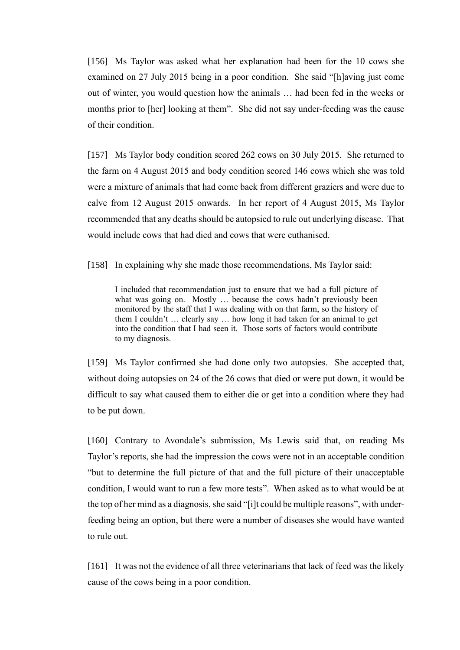[156] Ms Taylor was asked what her explanation had been for the 10 cows she examined on 27 July 2015 being in a poor condition. She said "[h]aving just come out of winter, you would question how the animals … had been fed in the weeks or months prior to [her] looking at them". She did not say under-feeding was the cause of their condition.

[157] Ms Taylor body condition scored 262 cows on 30 July 2015. She returned to the farm on 4 August 2015 and body condition scored 146 cows which she was told were a mixture of animals that had come back from different graziers and were due to calve from 12 August 2015 onwards. In her report of 4 August 2015, Ms Taylor recommended that any deaths should be autopsied to rule out underlying disease. That would include cows that had died and cows that were euthanised.

[158] In explaining why she made those recommendations, Ms Taylor said:

I included that recommendation just to ensure that we had a full picture of what was going on. Mostly … because the cows hadn't previously been monitored by the staff that I was dealing with on that farm, so the history of them I couldn't … clearly say … how long it had taken for an animal to get into the condition that I had seen it. Those sorts of factors would contribute to my diagnosis.

[159] Ms Taylor confirmed she had done only two autopsies. She accepted that, without doing autopsies on 24 of the 26 cows that died or were put down, it would be difficult to say what caused them to either die or get into a condition where they had to be put down.

[160] Contrary to Avondale's submission, Ms Lewis said that, on reading Ms Taylor's reports, she had the impression the cows were not in an acceptable condition "but to determine the full picture of that and the full picture of their unacceptable condition, I would want to run a few more tests". When asked as to what would be at the top of her mind as a diagnosis, she said "[i]t could be multiple reasons", with underfeeding being an option, but there were a number of diseases she would have wanted to rule out.

[161] It was not the evidence of all three veterinarians that lack of feed was the likely cause of the cows being in a poor condition.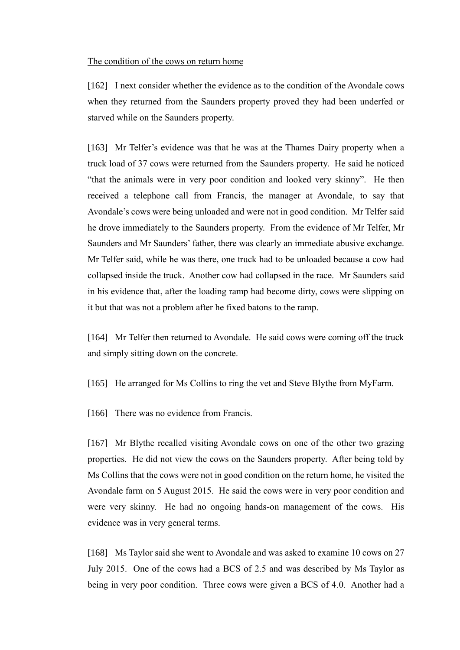#### The condition of the cows on return home

[162] I next consider whether the evidence as to the condition of the Avondale cows when they returned from the Saunders property proved they had been underfed or starved while on the Saunders property.

[163] Mr Telfer's evidence was that he was at the Thames Dairy property when a truck load of 37 cows were returned from the Saunders property. He said he noticed "that the animals were in very poor condition and looked very skinny". He then received a telephone call from Francis, the manager at Avondale, to say that Avondale's cows were being unloaded and were not in good condition. Mr Telfer said he drove immediately to the Saunders property. From the evidence of Mr Telfer, Mr Saunders and Mr Saunders' father, there was clearly an immediate abusive exchange. Mr Telfer said, while he was there, one truck had to be unloaded because a cow had collapsed inside the truck. Another cow had collapsed in the race. Mr Saunders said in his evidence that, after the loading ramp had become dirty, cows were slipping on it but that was not a problem after he fixed batons to the ramp.

[164] Mr Telfer then returned to Avondale. He said cows were coming off the truck and simply sitting down on the concrete.

[165] He arranged for Ms Collins to ring the vet and Steve Blythe from MyFarm.

[166] There was no evidence from Francis.

[167] Mr Blythe recalled visiting Avondale cows on one of the other two grazing properties. He did not view the cows on the Saunders property. After being told by Ms Collins that the cows were not in good condition on the return home, he visited the Avondale farm on 5 August 2015. He said the cows were in very poor condition and were very skinny. He had no ongoing hands-on management of the cows. His evidence was in very general terms.

[168] Ms Taylor said she went to Avondale and was asked to examine 10 cows on 27 July 2015. One of the cows had a BCS of 2.5 and was described by Ms Taylor as being in very poor condition. Three cows were given a BCS of 4.0. Another had a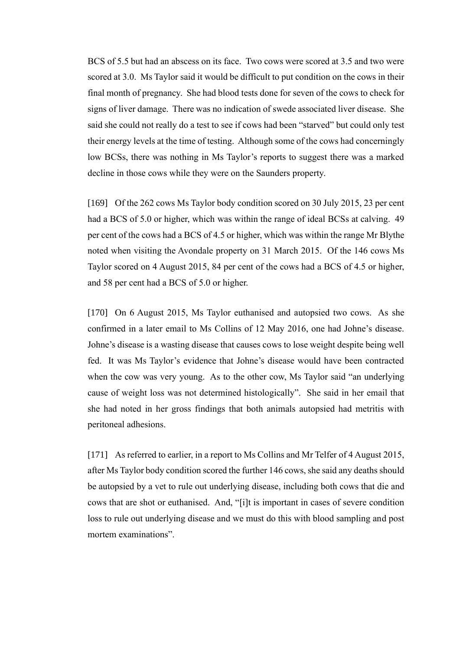BCS of 5.5 but had an abscess on its face. Two cows were scored at 3.5 and two were scored at 3.0. Ms Taylor said it would be difficult to put condition on the cows in their final month of pregnancy. She had blood tests done for seven of the cows to check for signs of liver damage. There was no indication of swede associated liver disease. She said she could not really do a test to see if cows had been "starved" but could only test their energy levels at the time of testing. Although some of the cows had concerningly low BCSs, there was nothing in Ms Taylor's reports to suggest there was a marked decline in those cows while they were on the Saunders property.

[169] Of the 262 cows Ms Taylor body condition scored on 30 July 2015, 23 per cent had a BCS of 5.0 or higher, which was within the range of ideal BCSs at calving. 49 per cent of the cows had a BCS of 4.5 or higher, which was within the range Mr Blythe noted when visiting the Avondale property on 31 March 2015. Of the 146 cows Ms Taylor scored on 4 August 2015, 84 per cent of the cows had a BCS of 4.5 or higher, and 58 per cent had a BCS of 5.0 or higher.

[170] On 6 August 2015, Ms Taylor euthanised and autopsied two cows. As she confirmed in a later email to Ms Collins of 12 May 2016, one had Johne's disease. Johne's disease is a wasting disease that causes cows to lose weight despite being well fed. It was Ms Taylor's evidence that Johne's disease would have been contracted when the cow was very young. As to the other cow, Ms Taylor said "an underlying cause of weight loss was not determined histologically". She said in her email that she had noted in her gross findings that both animals autopsied had metritis with peritoneal adhesions.

[171] As referred to earlier, in a report to Ms Collins and Mr Telfer of 4 August 2015, after Ms Taylor body condition scored the further 146 cows, she said any deaths should be autopsied by a vet to rule out underlying disease, including both cows that die and cows that are shot or euthanised. And, "[i]t is important in cases of severe condition loss to rule out underlying disease and we must do this with blood sampling and post mortem examinations".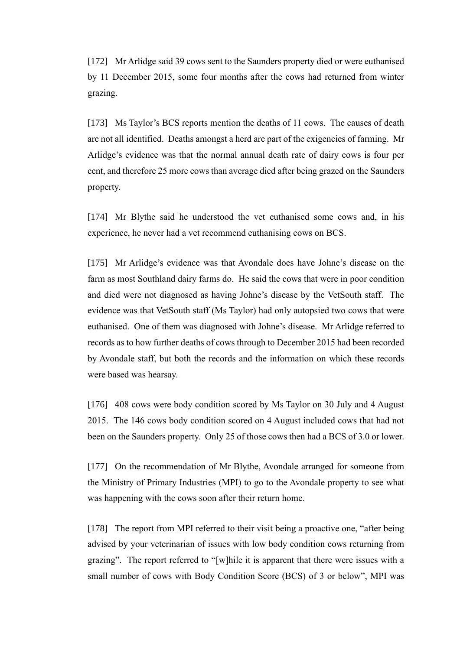[172] Mr Arlidge said 39 cows sent to the Saunders property died or were euthanised by 11 December 2015, some four months after the cows had returned from winter grazing.

[173] Ms Taylor's BCS reports mention the deaths of 11 cows. The causes of death are not all identified. Deaths amongst a herd are part of the exigencies of farming. Mr Arlidge's evidence was that the normal annual death rate of dairy cows is four per cent, and therefore 25 more cows than average died after being grazed on the Saunders property.

[174] Mr Blythe said he understood the vet euthanised some cows and, in his experience, he never had a vet recommend euthanising cows on BCS.

[175] Mr Arlidge's evidence was that Avondale does have Johne's disease on the farm as most Southland dairy farms do. He said the cows that were in poor condition and died were not diagnosed as having Johne's disease by the VetSouth staff. The evidence was that VetSouth staff (Ms Taylor) had only autopsied two cows that were euthanised. One of them was diagnosed with Johne's disease. Mr Arlidge referred to records as to how further deaths of cows through to December 2015 had been recorded by Avondale staff, but both the records and the information on which these records were based was hearsay.

[176] 408 cows were body condition scored by Ms Taylor on 30 July and 4 August 2015. The 146 cows body condition scored on 4 August included cows that had not been on the Saunders property. Only 25 of those cows then had a BCS of 3.0 or lower.

[177] On the recommendation of Mr Blythe, Avondale arranged for someone from the Ministry of Primary Industries (MPI) to go to the Avondale property to see what was happening with the cows soon after their return home.

[178] The report from MPI referred to their visit being a proactive one, "after being advised by your veterinarian of issues with low body condition cows returning from grazing". The report referred to "[w]hile it is apparent that there were issues with a small number of cows with Body Condition Score (BCS) of 3 or below", MPI was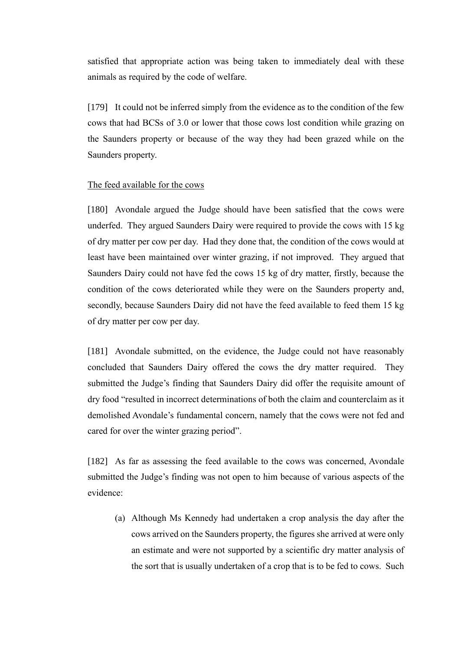satisfied that appropriate action was being taken to immediately deal with these animals as required by the code of welfare.

[179] It could not be inferred simply from the evidence as to the condition of the few cows that had BCSs of 3.0 or lower that those cows lost condition while grazing on the Saunders property or because of the way they had been grazed while on the Saunders property.

### The feed available for the cows

[180] Avondale argued the Judge should have been satisfied that the cows were underfed. They argued Saunders Dairy were required to provide the cows with 15 kg of dry matter per cow per day. Had they done that, the condition of the cows would at least have been maintained over winter grazing, if not improved. They argued that Saunders Dairy could not have fed the cows 15 kg of dry matter, firstly, because the condition of the cows deteriorated while they were on the Saunders property and, secondly, because Saunders Dairy did not have the feed available to feed them 15 kg of dry matter per cow per day.

[181] Avondale submitted, on the evidence, the Judge could not have reasonably concluded that Saunders Dairy offered the cows the dry matter required. They submitted the Judge's finding that Saunders Dairy did offer the requisite amount of dry food "resulted in incorrect determinations of both the claim and counterclaim as it demolished Avondale's fundamental concern, namely that the cows were not fed and cared for over the winter grazing period".

[182] As far as assessing the feed available to the cows was concerned, Avondale submitted the Judge's finding was not open to him because of various aspects of the evidence:

(a) Although Ms Kennedy had undertaken a crop analysis the day after the cows arrived on the Saunders property, the figures she arrived at were only an estimate and were not supported by a scientific dry matter analysis of the sort that is usually undertaken of a crop that is to be fed to cows. Such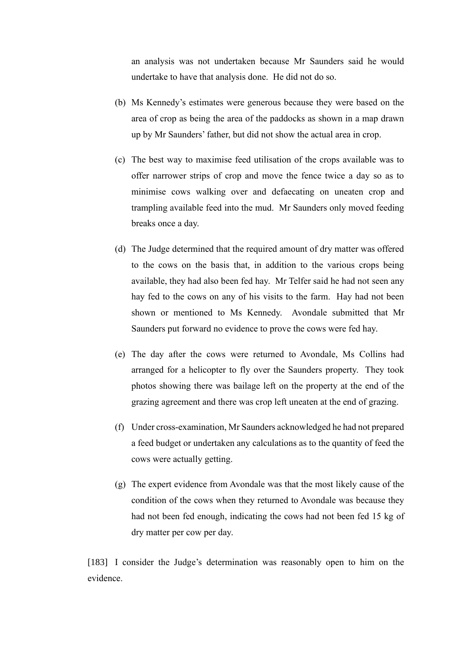an analysis was not undertaken because Mr Saunders said he would undertake to have that analysis done. He did not do so.

- (b) Ms Kennedy's estimates were generous because they were based on the area of crop as being the area of the paddocks as shown in a map drawn up by Mr Saunders' father, but did not show the actual area in crop.
- (c) The best way to maximise feed utilisation of the crops available was to offer narrower strips of crop and move the fence twice a day so as to minimise cows walking over and defaecating on uneaten crop and trampling available feed into the mud. Mr Saunders only moved feeding breaks once a day.
- (d) The Judge determined that the required amount of dry matter was offered to the cows on the basis that, in addition to the various crops being available, they had also been fed hay. Mr Telfer said he had not seen any hay fed to the cows on any of his visits to the farm. Hay had not been shown or mentioned to Ms Kennedy. Avondale submitted that Mr Saunders put forward no evidence to prove the cows were fed hay.
- (e) The day after the cows were returned to Avondale, Ms Collins had arranged for a helicopter to fly over the Saunders property. They took photos showing there was bailage left on the property at the end of the grazing agreement and there was crop left uneaten at the end of grazing.
- (f) Under cross-examination, Mr Saunders acknowledged he had not prepared a feed budget or undertaken any calculations as to the quantity of feed the cows were actually getting.
- (g) The expert evidence from Avondale was that the most likely cause of the condition of the cows when they returned to Avondale was because they had not been fed enough, indicating the cows had not been fed 15 kg of dry matter per cow per day.

[183] I consider the Judge's determination was reasonably open to him on the evidence.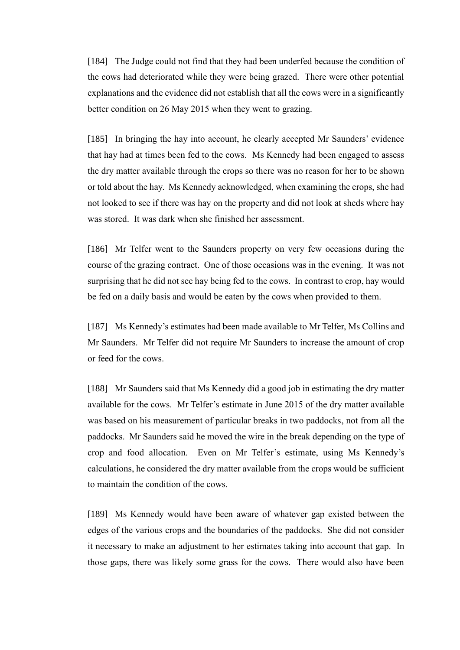[184] The Judge could not find that they had been underfed because the condition of the cows had deteriorated while they were being grazed. There were other potential explanations and the evidence did not establish that all the cows were in a significantly better condition on 26 May 2015 when they went to grazing.

[185] In bringing the hay into account, he clearly accepted Mr Saunders' evidence that hay had at times been fed to the cows. Ms Kennedy had been engaged to assess the dry matter available through the crops so there was no reason for her to be shown or told about the hay. Ms Kennedy acknowledged, when examining the crops, she had not looked to see if there was hay on the property and did not look at sheds where hay was stored. It was dark when she finished her assessment.

[186] Mr Telfer went to the Saunders property on very few occasions during the course of the grazing contract. One of those occasions was in the evening. It was not surprising that he did not see hay being fed to the cows. In contrast to crop, hay would be fed on a daily basis and would be eaten by the cows when provided to them.

[187] Ms Kennedy's estimates had been made available to Mr Telfer, Ms Collins and Mr Saunders. Mr Telfer did not require Mr Saunders to increase the amount of crop or feed for the cows.

[188] Mr Saunders said that Ms Kennedy did a good job in estimating the dry matter available for the cows. Mr Telfer's estimate in June 2015 of the dry matter available was based on his measurement of particular breaks in two paddocks, not from all the paddocks. Mr Saunders said he moved the wire in the break depending on the type of crop and food allocation. Even on Mr Telfer's estimate, using Ms Kennedy's calculations, he considered the dry matter available from the crops would be sufficient to maintain the condition of the cows.

[189] Ms Kennedy would have been aware of whatever gap existed between the edges of the various crops and the boundaries of the paddocks. She did not consider it necessary to make an adjustment to her estimates taking into account that gap. In those gaps, there was likely some grass for the cows. There would also have been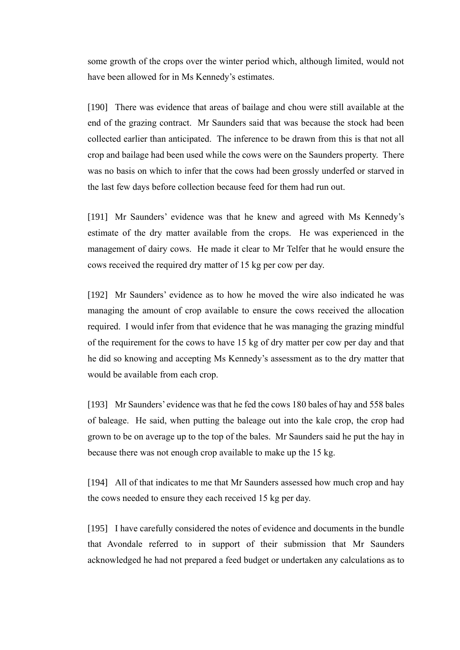some growth of the crops over the winter period which, although limited, would not have been allowed for in Ms Kennedy's estimates.

[190] There was evidence that areas of bailage and chou were still available at the end of the grazing contract. Mr Saunders said that was because the stock had been collected earlier than anticipated. The inference to be drawn from this is that not all crop and bailage had been used while the cows were on the Saunders property. There was no basis on which to infer that the cows had been grossly underfed or starved in the last few days before collection because feed for them had run out.

[191] Mr Saunders' evidence was that he knew and agreed with Ms Kennedy's estimate of the dry matter available from the crops. He was experienced in the management of dairy cows. He made it clear to Mr Telfer that he would ensure the cows received the required dry matter of 15 kg per cow per day.

[192] Mr Saunders' evidence as to how he moved the wire also indicated he was managing the amount of crop available to ensure the cows received the allocation required. I would infer from that evidence that he was managing the grazing mindful of the requirement for the cows to have 15 kg of dry matter per cow per day and that he did so knowing and accepting Ms Kennedy's assessment as to the dry matter that would be available from each crop.

[193] Mr Saunders' evidence was that he fed the cows 180 bales of hay and 558 bales of baleage. He said, when putting the baleage out into the kale crop, the crop had grown to be on average up to the top of the bales. Mr Saunders said he put the hay in because there was not enough crop available to make up the 15 kg.

[194] All of that indicates to me that Mr Saunders assessed how much crop and hay the cows needed to ensure they each received 15 kg per day.

[195] I have carefully considered the notes of evidence and documents in the bundle that Avondale referred to in support of their submission that Mr Saunders acknowledged he had not prepared a feed budget or undertaken any calculations as to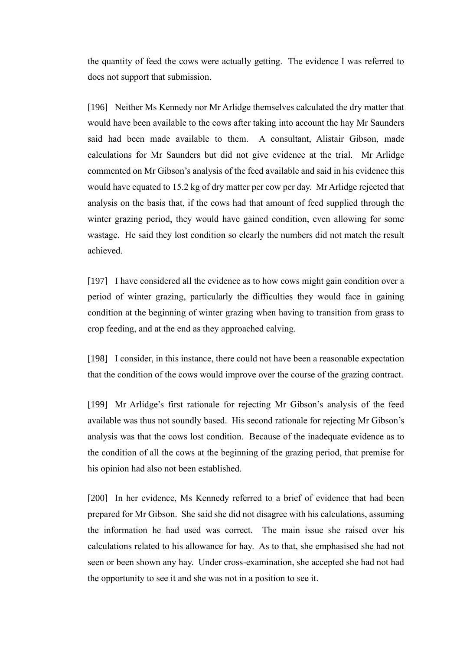the quantity of feed the cows were actually getting. The evidence I was referred to does not support that submission.

[196] Neither Ms Kennedy nor Mr Arlidge themselves calculated the dry matter that would have been available to the cows after taking into account the hay Mr Saunders said had been made available to them. A consultant, Alistair Gibson, made calculations for Mr Saunders but did not give evidence at the trial. Mr Arlidge commented on Mr Gibson's analysis of the feed available and said in his evidence this would have equated to 15.2 kg of dry matter per cow per day. Mr Arlidge rejected that analysis on the basis that, if the cows had that amount of feed supplied through the winter grazing period, they would have gained condition, even allowing for some wastage. He said they lost condition so clearly the numbers did not match the result achieved.

[197] I have considered all the evidence as to how cows might gain condition over a period of winter grazing, particularly the difficulties they would face in gaining condition at the beginning of winter grazing when having to transition from grass to crop feeding, and at the end as they approached calving.

[198] I consider, in this instance, there could not have been a reasonable expectation that the condition of the cows would improve over the course of the grazing contract.

[199] Mr Arlidge's first rationale for rejecting Mr Gibson's analysis of the feed available was thus not soundly based. His second rationale for rejecting Mr Gibson's analysis was that the cows lost condition. Because of the inadequate evidence as to the condition of all the cows at the beginning of the grazing period, that premise for his opinion had also not been established.

[200] In her evidence, Ms Kennedy referred to a brief of evidence that had been prepared for Mr Gibson. She said she did not disagree with his calculations, assuming the information he had used was correct. The main issue she raised over his calculations related to his allowance for hay. As to that, she emphasised she had not seen or been shown any hay. Under cross-examination, she accepted she had not had the opportunity to see it and she was not in a position to see it.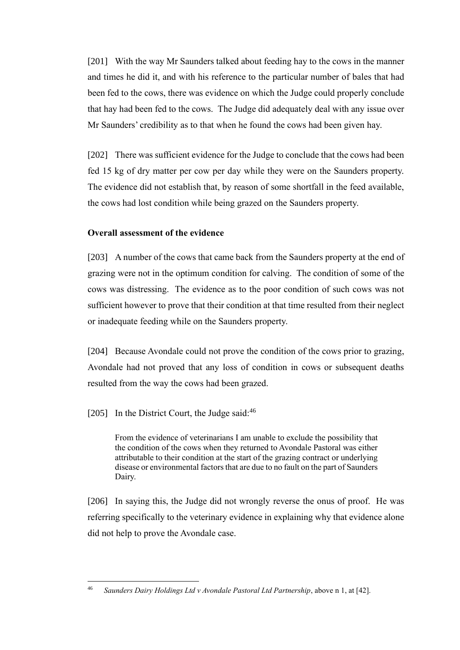[201] With the way Mr Saunders talked about feeding hay to the cows in the manner and times he did it, and with his reference to the particular number of bales that had been fed to the cows, there was evidence on which the Judge could properly conclude that hay had been fed to the cows. The Judge did adequately deal with any issue over Mr Saunders' credibility as to that when he found the cows had been given hay.

[202] There was sufficient evidence for the Judge to conclude that the cows had been fed 15 kg of dry matter per cow per day while they were on the Saunders property. The evidence did not establish that, by reason of some shortfall in the feed available, the cows had lost condition while being grazed on the Saunders property.

## **Overall assessment of the evidence**

[203] A number of the cows that came back from the Saunders property at the end of grazing were not in the optimum condition for calving. The condition of some of the cows was distressing. The evidence as to the poor condition of such cows was not sufficient however to prove that their condition at that time resulted from their neglect or inadequate feeding while on the Saunders property.

[204] Because Avondale could not prove the condition of the cows prior to grazing, Avondale had not proved that any loss of condition in cows or subsequent deaths resulted from the way the cows had been grazed.

## [205] In the District Court, the Judge said:<sup>46</sup>

From the evidence of veterinarians I am unable to exclude the possibility that the condition of the cows when they returned to Avondale Pastoral was either attributable to their condition at the start of the grazing contract or underlying disease or environmental factors that are due to no fault on the part of Saunders Dairy.

[206] In saying this, the Judge did not wrongly reverse the onus of proof. He was referring specifically to the veterinary evidence in explaining why that evidence alone did not help to prove the Avondale case.

<sup>46</sup> *Saunders Dairy Holdings Ltd v Avondale Pastoral Ltd Partnership*, above n 1, at [42].